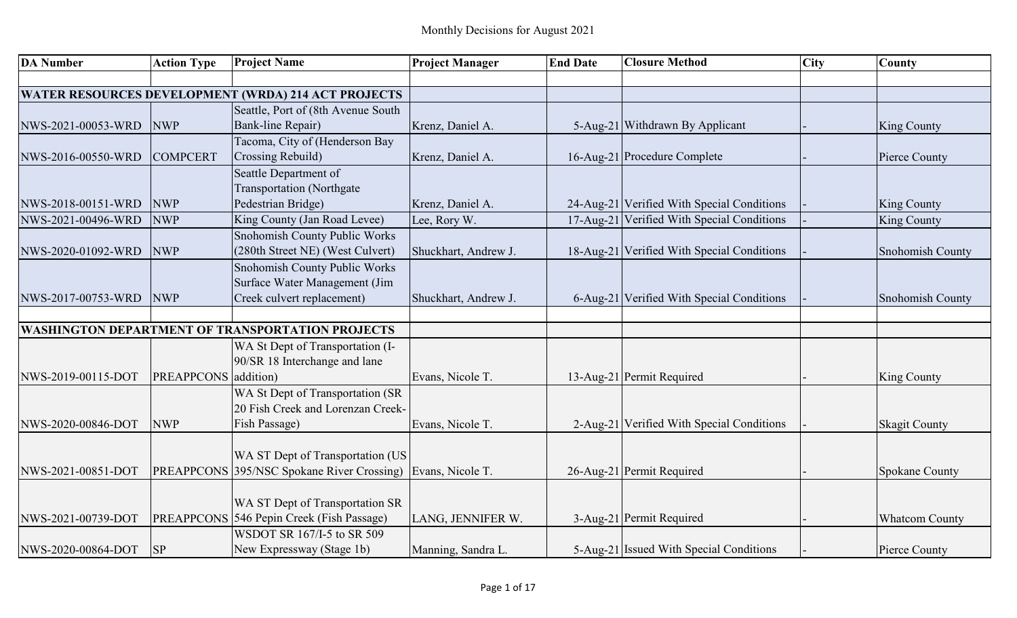| <b>DA Number</b>   | <b>Action Type</b>   | <b>Project Name</b>                                                | <b>Project Manager</b> | <b>End Date</b> | <b>Closure Method</b>                      | <b>City</b> | <b>County</b>         |
|--------------------|----------------------|--------------------------------------------------------------------|------------------------|-----------------|--------------------------------------------|-------------|-----------------------|
|                    |                      |                                                                    |                        |                 |                                            |             |                       |
|                    |                      | <b>WATER RESOURCES DEVELOPMENT (WRDA) 214 ACT PROJECTS</b>         |                        |                 |                                            |             |                       |
|                    |                      | Seattle, Port of (8th Avenue South                                 |                        |                 |                                            |             |                       |
| NWS-2021-00053-WRD | <b>NWP</b>           | <b>Bank-line Repair)</b>                                           | Krenz, Daniel A.       |                 | 5-Aug-21 Withdrawn By Applicant            |             | <b>King County</b>    |
|                    |                      | Tacoma, City of (Henderson Bay                                     |                        |                 |                                            |             |                       |
| NWS-2016-00550-WRD | <b>COMPCERT</b>      | Crossing Rebuild)                                                  | Krenz, Daniel A.       |                 | 16-Aug-21 Procedure Complete               |             | <b>Pierce County</b>  |
|                    |                      | Seattle Department of                                              |                        |                 |                                            |             |                       |
|                    |                      | <b>Transportation</b> (Northgate                                   |                        |                 |                                            |             |                       |
| NWS-2018-00151-WRD | <b>NWP</b>           | Pedestrian Bridge)                                                 | Krenz, Daniel A.       |                 | 24-Aug-21 Verified With Special Conditions |             | <b>King County</b>    |
| NWS-2021-00496-WRD | <b>NWP</b>           | King County (Jan Road Levee)                                       | Lee, Rory W.           |                 | 17-Aug-21 Verified With Special Conditions |             | <b>King County</b>    |
|                    |                      | Snohomish County Public Works                                      |                        |                 |                                            |             |                       |
| NWS-2020-01092-WRD | <b>NWP</b>           | (280th Street NE) (West Culvert)                                   | Shuckhart, Andrew J.   |                 | 18-Aug-21 Verified With Special Conditions |             | Snohomish County      |
|                    |                      | Snohomish County Public Works                                      |                        |                 |                                            |             |                       |
|                    |                      | Surface Water Management (Jim                                      |                        |                 |                                            |             |                       |
| NWS-2017-00753-WRD | <b>NWP</b>           | Creek culvert replacement)                                         | Shuckhart, Andrew J.   |                 | 6-Aug-21 Verified With Special Conditions  |             | Snohomish County      |
|                    |                      |                                                                    |                        |                 |                                            |             |                       |
|                    |                      | <b>WASHINGTON DEPARTMENT OF TRANSPORTATION PROJECTS</b>            |                        |                 |                                            |             |                       |
|                    |                      | WA St Dept of Transportation (I-                                   |                        |                 |                                            |             |                       |
|                    |                      | 90/SR 18 Interchange and lane                                      |                        |                 |                                            |             |                       |
| NWS-2019-00115-DOT | PREAPPCONS addition) |                                                                    | Evans, Nicole T.       |                 | 13-Aug-21 Permit Required                  |             | <b>King County</b>    |
|                    |                      | WA St Dept of Transportation (SR                                   |                        |                 |                                            |             |                       |
|                    |                      | 20 Fish Creek and Lorenzan Creek-                                  |                        |                 |                                            |             |                       |
| NWS-2020-00846-DOT | <b>NWP</b>           | Fish Passage)                                                      | Evans, Nicole T.       |                 | 2-Aug-21 Verified With Special Conditions  |             | <b>Skagit County</b>  |
|                    |                      |                                                                    |                        |                 |                                            |             |                       |
|                    |                      | WA ST Dept of Transportation (US                                   |                        |                 |                                            |             |                       |
| NWS-2021-00851-DOT |                      | <b>PREAPPCONS</b> 395/NSC Spokane River Crossing) Evans, Nicole T. |                        |                 | 26-Aug-21 Permit Required                  |             | Spokane County        |
|                    |                      |                                                                    |                        |                 |                                            |             |                       |
|                    |                      | WA ST Dept of Transportation SR                                    |                        |                 |                                            |             |                       |
| NWS-2021-00739-DOT |                      | PREAPPCONS 546 Pepin Creek (Fish Passage)                          | LANG, JENNIFER W.      |                 | 3-Aug-21 Permit Required                   |             | <b>Whatcom County</b> |
|                    |                      | WSDOT SR 167/I-5 to SR 509                                         |                        |                 |                                            |             |                       |
| NWS-2020-00864-DOT | <b>SP</b>            | New Expressway (Stage 1b)                                          | Manning, Sandra L.     |                 | 5-Aug-21 Issued With Special Conditions    |             | Pierce County         |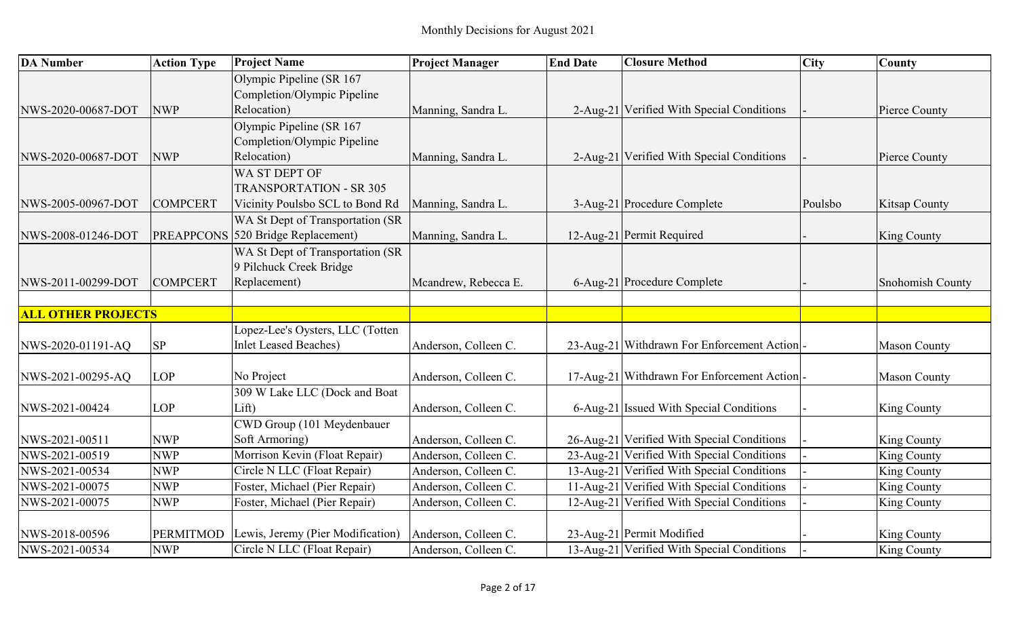| <b>DA Number</b>          | <b>Action Type</b> | <b>Project Name</b>                | <b>Project Manager</b> | <b>End Date</b> | <b>Closure Method</b>                      | City    | County               |
|---------------------------|--------------------|------------------------------------|------------------------|-----------------|--------------------------------------------|---------|----------------------|
|                           |                    | Olympic Pipeline (SR 167           |                        |                 |                                            |         |                      |
|                           |                    | Completion/Olympic Pipeline        |                        |                 |                                            |         |                      |
| NWS-2020-00687-DOT        | <b>NWP</b>         | Relocation)                        | Manning, Sandra L.     |                 | 2-Aug-21 Verified With Special Conditions  |         | Pierce County        |
|                           |                    | Olympic Pipeline (SR 167           |                        |                 |                                            |         |                      |
|                           |                    | Completion/Olympic Pipeline        |                        |                 |                                            |         |                      |
| NWS-2020-00687-DOT        | <b>NWP</b>         | Relocation)                        | Manning, Sandra L.     |                 | 2-Aug-21 Verified With Special Conditions  |         | Pierce County        |
|                           |                    | WA ST DEPT OF                      |                        |                 |                                            |         |                      |
|                           |                    | <b>TRANSPORTATION - SR 305</b>     |                        |                 |                                            |         |                      |
| NWS-2005-00967-DOT        | <b>COMPCERT</b>    | Vicinity Poulsbo SCL to Bond Rd    | Manning, Sandra L.     |                 | 3-Aug-21 Procedure Complete                | Poulsbo | <b>Kitsap County</b> |
|                           |                    | WA St Dept of Transportation (SR   |                        |                 |                                            |         |                      |
| NWS-2008-01246-DOT        |                    | PREAPPCONS 520 Bridge Replacement) | Manning, Sandra L.     |                 | 12-Aug-21 Permit Required                  |         | <b>King County</b>   |
|                           |                    | WA St Dept of Transportation (SR   |                        |                 |                                            |         |                      |
|                           |                    | 9 Pilchuck Creek Bridge            |                        |                 |                                            |         |                      |
| NWS-2011-00299-DOT        | <b>COMPCERT</b>    | Replacement)                       | Mcandrew, Rebecca E.   |                 | 6-Aug-21 Procedure Complete                |         | Snohomish County     |
|                           |                    |                                    |                        |                 |                                            |         |                      |
| <b>ALL OTHER PROJECTS</b> |                    |                                    |                        |                 |                                            |         |                      |
|                           |                    | Lopez-Lee's Oysters, LLC (Totten   |                        |                 |                                            |         |                      |
| NWS-2020-01191-AQ         | SP                 | <b>Inlet Leased Beaches)</b>       | Anderson, Colleen C.   |                 | 23-Aug-21 Withdrawn For Enforcement Action |         | <b>Mason County</b>  |
|                           |                    |                                    |                        |                 |                                            |         |                      |
| NWS-2021-00295-AQ         | <b>LOP</b>         | No Project                         | Anderson, Colleen C.   |                 | 17-Aug-21 Withdrawn For Enforcement Action |         | <b>Mason County</b>  |
|                           |                    | 309 W Lake LLC (Dock and Boat      |                        |                 |                                            |         |                      |
| NWS-2021-00424            | <b>LOP</b>         | Lift)                              | Anderson, Colleen C.   |                 | 6-Aug-21 Issued With Special Conditions    |         | <b>King County</b>   |
|                           |                    | CWD Group (101 Meydenbauer         |                        |                 |                                            |         |                      |
| NWS-2021-00511            | <b>NWP</b>         | Soft Armoring)                     | Anderson, Colleen C.   |                 | 26-Aug-21 Verified With Special Conditions |         | <b>King County</b>   |
| NWS-2021-00519            | <b>NWP</b>         | Morrison Kevin (Float Repair)      | Anderson, Colleen C.   |                 | 23-Aug-21 Verified With Special Conditions |         | King County          |
| NWS-2021-00534            | <b>NWP</b>         | Circle N LLC (Float Repair)        | Anderson, Colleen C.   |                 | 13-Aug-21 Verified With Special Conditions |         | <b>King County</b>   |
| NWS-2021-00075            | <b>NWP</b>         | Foster, Michael (Pier Repair)      | Anderson, Colleen C.   |                 | 11-Aug-21 Verified With Special Conditions |         | King County          |
| NWS-2021-00075            | <b>NWP</b>         | Foster, Michael (Pier Repair)      | Anderson, Colleen C.   |                 | 12-Aug-21 Verified With Special Conditions |         | King County          |
|                           |                    |                                    |                        |                 |                                            |         |                      |
| NWS-2018-00596            | <b>PERMITMOD</b>   | Lewis, Jeremy (Pier Modification)  | Anderson, Colleen C.   |                 | 23-Aug-21 Permit Modified                  |         | <b>King County</b>   |
| NWS-2021-00534            | <b>NWP</b>         | Circle N LLC (Float Repair)        | Anderson, Colleen C.   |                 | 13-Aug-21 Verified With Special Conditions |         | <b>King County</b>   |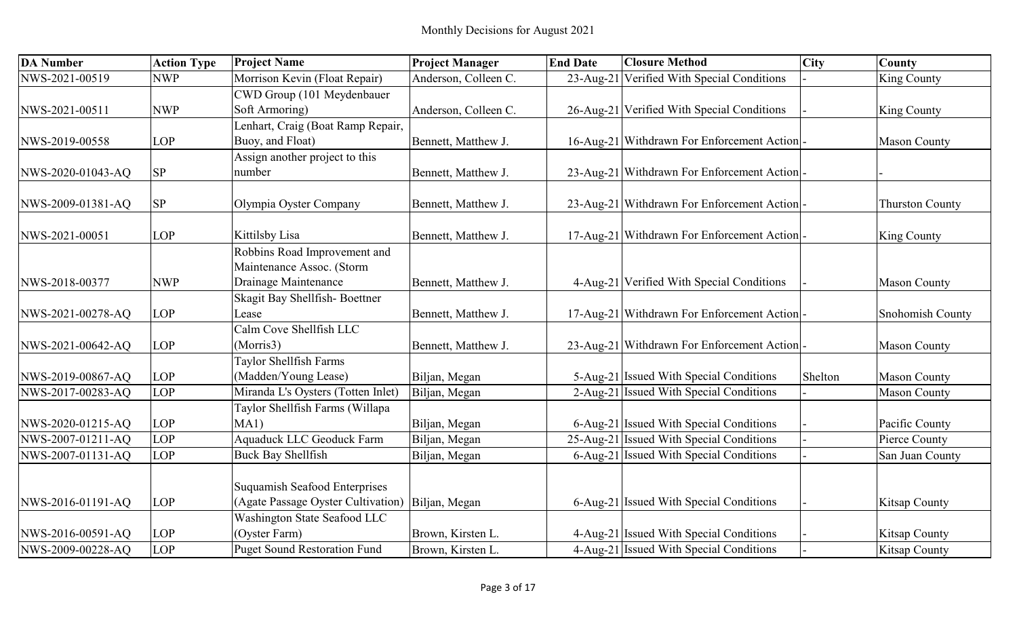| <b>DA Number</b>  | <b>Action Type</b> | <b>Project Name</b>                  | <b>Project Manager</b> | <b>End Date</b> | <b>Closure Method</b>                      | <b>City</b> | County                 |
|-------------------|--------------------|--------------------------------------|------------------------|-----------------|--------------------------------------------|-------------|------------------------|
| NWS-2021-00519    | <b>NWP</b>         | Morrison Kevin (Float Repair)        | Anderson, Colleen C.   |                 | 23-Aug-21 Verified With Special Conditions |             | <b>King County</b>     |
|                   |                    | CWD Group (101 Meydenbauer           |                        |                 |                                            |             |                        |
| NWS-2021-00511    | <b>NWP</b>         | Soft Armoring)                       | Anderson, Colleen C.   |                 | 26-Aug-21 Verified With Special Conditions |             | <b>King County</b>     |
|                   |                    | Lenhart, Craig (Boat Ramp Repair,    |                        |                 |                                            |             |                        |
| NWS-2019-00558    | <b>LOP</b>         | Buoy, and Float)                     | Bennett, Matthew J.    |                 | 16-Aug-21 Withdrawn For Enforcement Action |             | <b>Mason County</b>    |
|                   |                    | Assign another project to this       |                        |                 |                                            |             |                        |
| NWS-2020-01043-AQ | $\rm SP$           | number                               | Bennett, Matthew J.    |                 | 23-Aug-21 Withdrawn For Enforcement Action |             |                        |
| NWS-2009-01381-AQ | $\rm SP$           | Olympia Oyster Company               | Bennett, Matthew J.    |                 | 23-Aug-21 Withdrawn For Enforcement Action |             | <b>Thurston County</b> |
|                   |                    |                                      |                        |                 |                                            |             |                        |
| NWS-2021-00051    | <b>LOP</b>         | Kittilsby Lisa                       | Bennett, Matthew J.    |                 | 17-Aug-21 Withdrawn For Enforcement Action |             | <b>King County</b>     |
|                   |                    | Robbins Road Improvement and         |                        |                 |                                            |             |                        |
|                   |                    | Maintenance Assoc. (Storm            |                        |                 |                                            |             |                        |
| NWS-2018-00377    | <b>NWP</b>         | Drainage Maintenance                 | Bennett, Matthew J.    |                 | 4-Aug-21 Verified With Special Conditions  |             | <b>Mason County</b>    |
|                   |                    | Skagit Bay Shellfish-Boettner        |                        |                 |                                            |             |                        |
| NWS-2021-00278-AQ | <b>LOP</b>         | Lease                                | Bennett, Matthew J.    |                 | 17-Aug-21 Withdrawn For Enforcement Action |             | Snohomish County       |
|                   |                    | Calm Cove Shellfish LLC              |                        |                 |                                            |             |                        |
| NWS-2021-00642-AQ | LOP                | (Morris3)                            | Bennett, Matthew J.    |                 | 23-Aug-21 Withdrawn For Enforcement Action |             | <b>Mason County</b>    |
|                   |                    | Taylor Shellfish Farms               |                        |                 |                                            |             |                        |
| NWS-2019-00867-AQ | LOP                | (Madden/Young Lease)                 | Biljan, Megan          |                 | 5-Aug-21 Issued With Special Conditions    | Shelton     | <b>Mason County</b>    |
| NWS-2017-00283-AQ | LOP                | Miranda L's Oysters (Totten Inlet)   | Biljan, Megan          |                 | 2-Aug-21 Issued With Special Conditions    |             | <b>Mason County</b>    |
|                   |                    | Taylor Shellfish Farms (Willapa      |                        |                 |                                            |             |                        |
| NWS-2020-01215-AQ | LOP                | MA1)                                 | Biljan, Megan          |                 | 6-Aug-21 Issued With Special Conditions    |             | Pacific County         |
| NWS-2007-01211-AQ | LOP                | <b>Aquaduck LLC Geoduck Farm</b>     | Biljan, Megan          |                 | 25-Aug-21 Issued With Special Conditions   |             | Pierce County          |
| NWS-2007-01131-AQ | LOP                | <b>Buck Bay Shellfish</b>            | Biljan, Megan          |                 | 6-Aug-21 Issued With Special Conditions    |             | San Juan County        |
|                   |                    |                                      |                        |                 |                                            |             |                        |
|                   |                    | <b>Suquamish Seafood Enterprises</b> |                        |                 |                                            |             |                        |
| NWS-2016-01191-AQ | LOP                | (Agate Passage Oyster Cultivation)   | Biljan, Megan          |                 | 6-Aug-21 Issued With Special Conditions    |             | <b>Kitsap County</b>   |
|                   |                    | Washington State Seafood LLC         |                        |                 |                                            |             |                        |
| NWS-2016-00591-AQ | <b>LOP</b>         | (Oyster Farm)                        | Brown, Kirsten L.      |                 | 4-Aug-21 Issued With Special Conditions    |             | <b>Kitsap County</b>   |
| NWS-2009-00228-AQ | LOP                | <b>Puget Sound Restoration Fund</b>  | Brown, Kirsten L.      |                 | 4-Aug-21 Issued With Special Conditions    |             | <b>Kitsap County</b>   |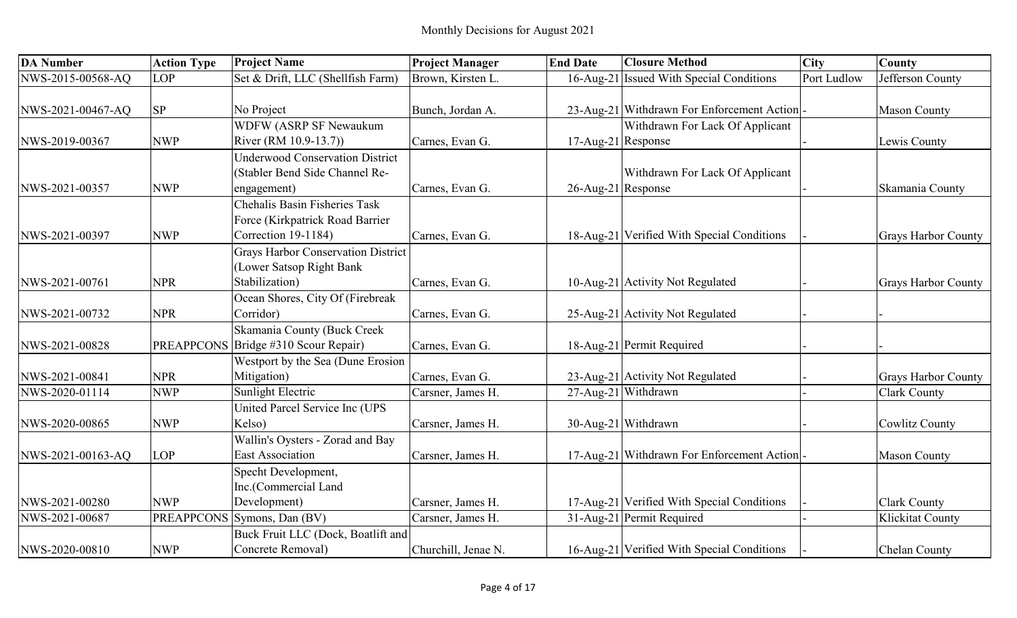| <b>DA Number</b>  | <b>Action Type</b> | <b>Project Name</b>                       | <b>Project Manager</b> | <b>End Date</b>    | <b>Closure Method</b>                      | <b>City</b> | County                     |
|-------------------|--------------------|-------------------------------------------|------------------------|--------------------|--------------------------------------------|-------------|----------------------------|
| NWS-2015-00568-AQ | O <sub>P</sub>     | Set & Drift, LLC (Shellfish Farm)         | Brown, Kirsten L.      |                    | 16-Aug-21 Issued With Special Conditions   | Port Ludlow | Jefferson County           |
|                   |                    |                                           |                        |                    |                                            |             |                            |
| NWS-2021-00467-AQ | <b>SP</b>          | No Project                                | Bunch, Jordan A.       |                    | 23-Aug-21 Withdrawn For Enforcement Action |             | <b>Mason County</b>        |
|                   |                    | <b>WDFW (ASRP SF Newaukum)</b>            |                        |                    | Withdrawn For Lack Of Applicant            |             |                            |
| NWS-2019-00367    | <b>NWP</b>         | River (RM 10.9-13.7))                     | Carnes, Evan G.        | 17-Aug-21 Response |                                            |             | Lewis County               |
|                   |                    | Underwood Conservation District           |                        |                    |                                            |             |                            |
|                   |                    | (Stabler Bend Side Channel Re-            |                        |                    | Withdrawn For Lack Of Applicant            |             |                            |
| NWS-2021-00357    | <b>NWP</b>         | engagement)                               | Carnes, Evan G.        | 26-Aug-21 Response |                                            |             | Skamania County            |
|                   |                    | Chehalis Basin Fisheries Task             |                        |                    |                                            |             |                            |
|                   |                    | Force (Kirkpatrick Road Barrier           |                        |                    |                                            |             |                            |
| NWS-2021-00397    | <b>NWP</b>         | Correction 19-1184)                       | Carnes, Evan G.        |                    | 18-Aug-21 Verified With Special Conditions |             | <b>Grays Harbor County</b> |
|                   |                    | <b>Grays Harbor Conservation District</b> |                        |                    |                                            |             |                            |
|                   |                    | (Lower Satsop Right Bank                  |                        |                    |                                            |             |                            |
| NWS-2021-00761    | <b>NPR</b>         | Stabilization)                            | Carnes, Evan G.        |                    | 10-Aug-21 Activity Not Regulated           |             | <b>Grays Harbor County</b> |
|                   |                    | Ocean Shores, City Of (Firebreak          |                        |                    |                                            |             |                            |
| NWS-2021-00732    | <b>NPR</b>         | Corridor)                                 | Carnes, Evan G.        |                    | 25-Aug-21 Activity Not Regulated           |             |                            |
|                   |                    | Skamania County (Buck Creek               |                        |                    |                                            |             |                            |
| NWS-2021-00828    | <b>PREAPPCONS</b>  | Bridge #310 Scour Repair)                 | Carnes, Evan G.        |                    | 18-Aug-21 Permit Required                  |             |                            |
|                   |                    | Westport by the Sea (Dune Erosion         |                        |                    |                                            |             |                            |
| NWS-2021-00841    | <b>NPR</b>         | Mitigation)                               | Carnes, Evan G.        |                    | 23-Aug-21 Activity Not Regulated           |             | <b>Grays Harbor County</b> |
| NWS-2020-01114    | <b>NWP</b>         | Sunlight Electric                         | Carsner, James H.      |                    | 27-Aug-21 Withdrawn                        |             | <b>Clark County</b>        |
|                   |                    | United Parcel Service Inc (UPS            |                        |                    |                                            |             |                            |
| NWS-2020-00865    | <b>NWP</b>         | Kelso)                                    | Carsner, James H.      |                    | 30-Aug-21 Withdrawn                        |             | <b>Cowlitz County</b>      |
|                   |                    | Wallin's Oysters - Zorad and Bay          |                        |                    |                                            |             |                            |
| NWS-2021-00163-AQ | LOP                | <b>East Association</b>                   | Carsner, James H.      |                    | 17-Aug-21 Withdrawn For Enforcement Action |             | <b>Mason County</b>        |
|                   |                    | Specht Development,                       |                        |                    |                                            |             |                            |
|                   |                    | Inc.(Commercial Land                      |                        |                    |                                            |             |                            |
| NWS-2021-00280    | <b>NWP</b>         | Development)                              | Carsner, James H.      |                    | 17-Aug-21 Verified With Special Conditions |             | <b>Clark County</b>        |
| NWS-2021-00687    |                    | PREAPPCONS Symons, Dan (BV)               | Carsner, James H.      |                    | 31-Aug-21 Permit Required                  |             | Klickitat County           |
|                   |                    | Buck Fruit LLC (Dock, Boatlift and        |                        |                    |                                            |             |                            |
| NWS-2020-00810    | <b>NWP</b>         | Concrete Removal)                         | Churchill, Jenae N.    |                    | 16-Aug-21 Verified With Special Conditions |             | Chelan County              |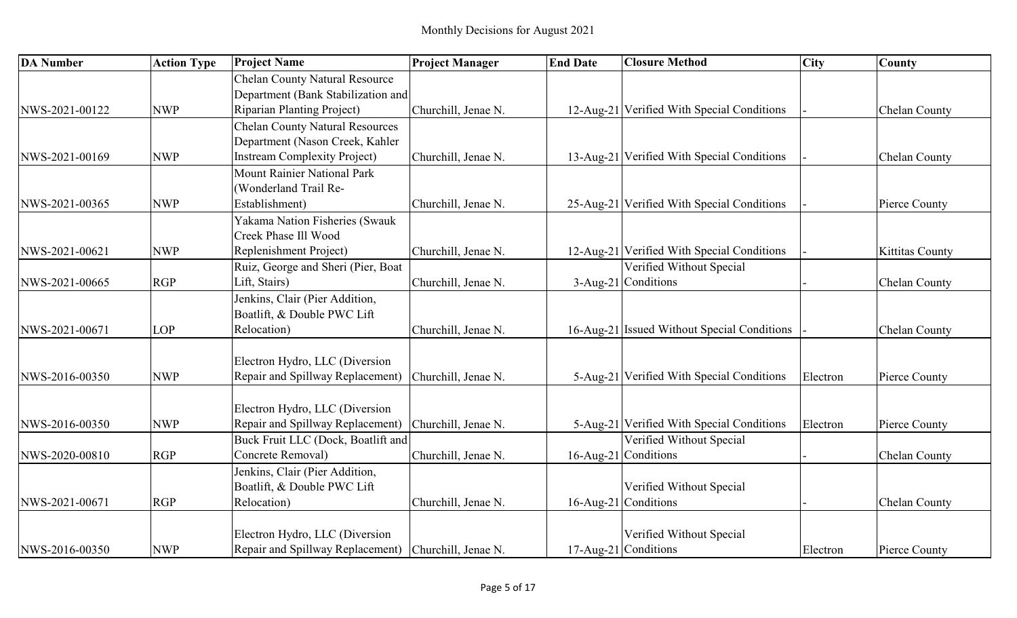| <b>DA Number</b> | <b>Action Type</b> | <b>Project Name</b>                    | <b>Project Manager</b> | <b>End Date</b> | <b>Closure Method</b>                       | <b>City</b> | <b>County</b>          |
|------------------|--------------------|----------------------------------------|------------------------|-----------------|---------------------------------------------|-------------|------------------------|
|                  |                    | <b>Chelan County Natural Resource</b>  |                        |                 |                                             |             |                        |
|                  |                    | Department (Bank Stabilization and     |                        |                 |                                             |             |                        |
| NWS-2021-00122   | <b>NWP</b>         | <b>Riparian Planting Project)</b>      | Churchill, Jenae N.    |                 | 12-Aug-21 Verified With Special Conditions  |             | Chelan County          |
|                  |                    | <b>Chelan County Natural Resources</b> |                        |                 |                                             |             |                        |
|                  |                    | Department (Nason Creek, Kahler        |                        |                 |                                             |             |                        |
| NWS-2021-00169   | <b>NWP</b>         | <b>Instream Complexity Project)</b>    | Churchill, Jenae N.    |                 | 13-Aug-21 Verified With Special Conditions  |             | <b>Chelan County</b>   |
|                  |                    | Mount Rainier National Park            |                        |                 |                                             |             |                        |
|                  |                    | (Wonderland Trail Re-                  |                        |                 |                                             |             |                        |
| NWS-2021-00365   | <b>NWP</b>         | Establishment)                         | Churchill, Jenae N.    |                 | 25-Aug-21 Verified With Special Conditions  |             | Pierce County          |
|                  |                    | Yakama Nation Fisheries (Swauk         |                        |                 |                                             |             |                        |
|                  |                    | Creek Phase Ill Wood                   |                        |                 |                                             |             |                        |
| NWS-2021-00621   | <b>NWP</b>         | Replenishment Project)                 | Churchill, Jenae N.    |                 | 12-Aug-21 Verified With Special Conditions  |             | <b>Kittitas County</b> |
|                  |                    | Ruiz, George and Sheri (Pier, Boat     |                        |                 | Verified Without Special                    |             |                        |
| NWS-2021-00665   | <b>RGP</b>         | Lift, Stairs)                          | Churchill, Jenae N.    |                 | 3-Aug-21 Conditions                         |             | Chelan County          |
|                  |                    | Jenkins, Clair (Pier Addition,         |                        |                 |                                             |             |                        |
|                  |                    | Boatlift, & Double PWC Lift            |                        |                 |                                             |             |                        |
| NWS-2021-00671   | <b>LOP</b>         | Relocation)                            | Churchill, Jenae N.    |                 | 16-Aug-21 Issued Without Special Conditions |             | Chelan County          |
|                  |                    |                                        |                        |                 |                                             |             |                        |
|                  |                    | Electron Hydro, LLC (Diversion         |                        |                 |                                             |             |                        |
| NWS-2016-00350   | <b>NWP</b>         | Repair and Spillway Replacement)       | Churchill, Jenae N.    |                 | 5-Aug-21 Verified With Special Conditions   | Electron    | Pierce County          |
|                  |                    |                                        |                        |                 |                                             |             |                        |
|                  |                    | Electron Hydro, LLC (Diversion         |                        |                 |                                             |             |                        |
| NWS-2016-00350   | <b>NWP</b>         | Repair and Spillway Replacement)       | Churchill, Jenae N.    |                 | 5-Aug-21 Verified With Special Conditions   | Electron    | Pierce County          |
|                  |                    | Buck Fruit LLC (Dock, Boatlift and     |                        |                 | Verified Without Special                    |             |                        |
| NWS-2020-00810   | <b>RGP</b>         | Concrete Removal)                      | Churchill, Jenae N.    |                 | 16-Aug-21 Conditions                        |             | Chelan County          |
|                  |                    | Jenkins, Clair (Pier Addition,         |                        |                 |                                             |             |                        |
|                  |                    | Boatlift, & Double PWC Lift            |                        |                 | Verified Without Special                    |             |                        |
| NWS-2021-00671   | <b>RGP</b>         | Relocation)                            | Churchill, Jenae N.    |                 | 16-Aug-21 Conditions                        |             | Chelan County          |
|                  |                    |                                        |                        |                 |                                             |             |                        |
|                  |                    | Electron Hydro, LLC (Diversion         |                        |                 | Verified Without Special                    |             |                        |
| NWS-2016-00350   | <b>NWP</b>         | Repair and Spillway Replacement)       | Churchill, Jenae N.    |                 | 17-Aug-21 Conditions                        | Electron    | Pierce County          |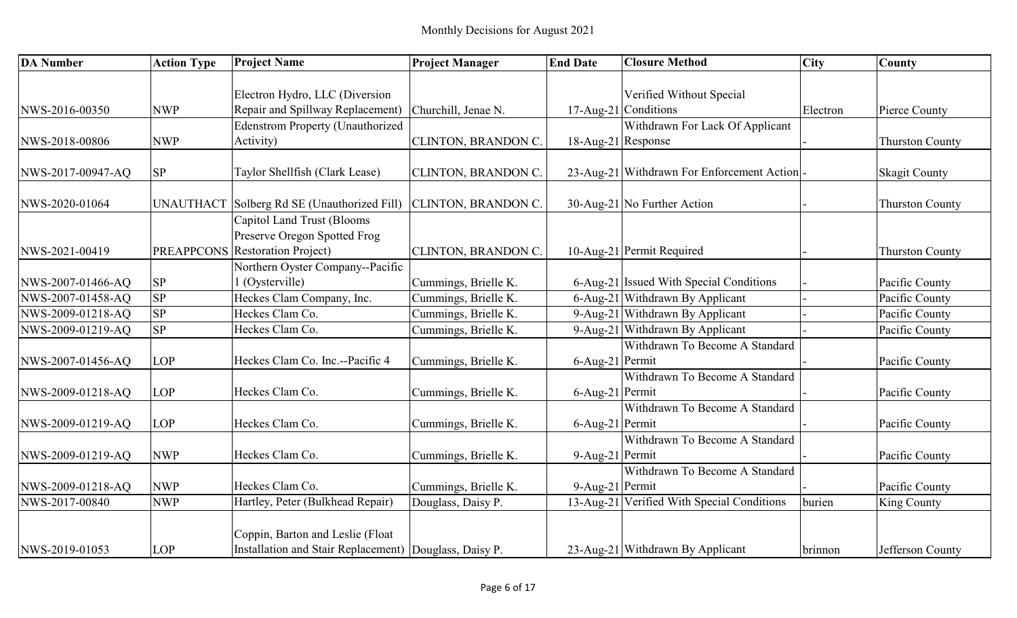| <b>DA</b> Number  | <b>Action Type</b> | <b>Project Name</b>                                                                           | <b>Project Manager</b>     | <b>End Date</b>    | <b>Closure Method</b>                      | <b>City</b> | County                 |
|-------------------|--------------------|-----------------------------------------------------------------------------------------------|----------------------------|--------------------|--------------------------------------------|-------------|------------------------|
|                   |                    |                                                                                               |                            |                    |                                            |             |                        |
|                   |                    | Electron Hydro, LLC (Diversion                                                                |                            |                    | Verified Without Special                   |             |                        |
| NWS-2016-00350    | <b>NWP</b>         | Repair and Spillway Replacement)                                                              | Churchill, Jenae N.        |                    | 17-Aug-21 Conditions                       | Electron    | Pierce County          |
|                   |                    | <b>Edenstrom Property (Unauthorized</b>                                                       |                            |                    | Withdrawn For Lack Of Applicant            |             |                        |
| NWS-2018-00806    | <b>NWP</b>         | Activity)                                                                                     | CLINTON, BRANDON C.        | 18-Aug-21 Response |                                            |             | <b>Thurston County</b> |
| NWS-2017-00947-AQ | ${\rm SP}$         | Taylor Shellfish (Clark Lease)                                                                | CLINTON, BRANDON C.        |                    | 23-Aug-21 Withdrawn For Enforcement Action |             | <b>Skagit County</b>   |
| NWS-2020-01064    | <b>UNAUTHACT</b>   | Solberg Rd SE (Unauthorized Fill)                                                             | <b>CLINTON, BRANDON C.</b> |                    | 30-Aug-21 No Further Action                |             | <b>Thurston County</b> |
| NWS-2021-00419    |                    | Capitol Land Trust (Blooms<br>Preserve Oregon Spotted Frog<br>PREAPPCONS Restoration Project) | CLINTON, BRANDON C.        |                    | 10-Aug-21 Permit Required                  |             | <b>Thurston County</b> |
|                   |                    | Northern Oyster Company--Pacific                                                              |                            |                    |                                            |             |                        |
| NWS-2007-01466-AQ | <b>SP</b>          | (Oysterville)                                                                                 | Cummings, Brielle K.       |                    | 6-Aug-21 Issued With Special Conditions    |             | Pacific County         |
| NWS-2007-01458-AQ | SP                 | Heckes Clam Company, Inc.                                                                     | Cummings, Brielle K.       |                    | 6-Aug-21 Withdrawn By Applicant            |             | Pacific County         |
| NWS-2009-01218-AQ | <b>SP</b>          | Heckes Clam Co.                                                                               | Cummings, Brielle K.       |                    | 9-Aug-21 Withdrawn By Applicant            |             | Pacific County         |
| NWS-2009-01219-AQ | SP                 | Heckes Clam Co.                                                                               | Cummings, Brielle K.       |                    | 9-Aug-21 Withdrawn By Applicant            |             | Pacific County         |
| NWS-2007-01456-AQ | LOP                | Heckes Clam Co. Inc.--Pacific 4                                                               | Cummings, Brielle K.       | 6-Aug-21 Permit    | Withdrawn To Become A Standard             |             | Pacific County         |
|                   |                    |                                                                                               |                            |                    | Withdrawn To Become A Standard             |             |                        |
| NWS-2009-01218-AQ | LOP                | Heckes Clam Co.                                                                               | Cummings, Brielle K.       | 6-Aug-21 Permit    |                                            |             | Pacific County         |
| NWS-2009-01219-AQ | LOP                | Heckes Clam Co.                                                                               | Cummings, Brielle K.       | 6-Aug-21 Permit    | Withdrawn To Become A Standard             |             | Pacific County         |
|                   |                    |                                                                                               |                            |                    | Withdrawn To Become A Standard             |             |                        |
| NWS-2009-01219-AQ | <b>NWP</b>         | Heckes Clam Co.                                                                               | Cummings, Brielle K.       | 9-Aug-21 Permit    |                                            |             | Pacific County         |
|                   |                    |                                                                                               |                            |                    | Withdrawn To Become A Standard             |             |                        |
| NWS-2009-01218-AQ | <b>NWP</b>         | Heckes Clam Co.                                                                               | Cummings, Brielle K.       | 9-Aug-21 Permit    |                                            |             | Pacific County         |
| NWS-2017-00840    | <b>NWP</b>         | Hartley, Peter (Bulkhead Repair)                                                              | Douglass, Daisy P.         |                    | 13-Aug-21 Verified With Special Conditions | burien      | King County            |
| NWS-2019-01053    | LOP                | Coppin, Barton and Leslie (Float<br>Installation and Stair Replacement) Douglass, Daisy P.    |                            |                    | 23-Aug-21 Withdrawn By Applicant           | brinnon     | Jefferson County       |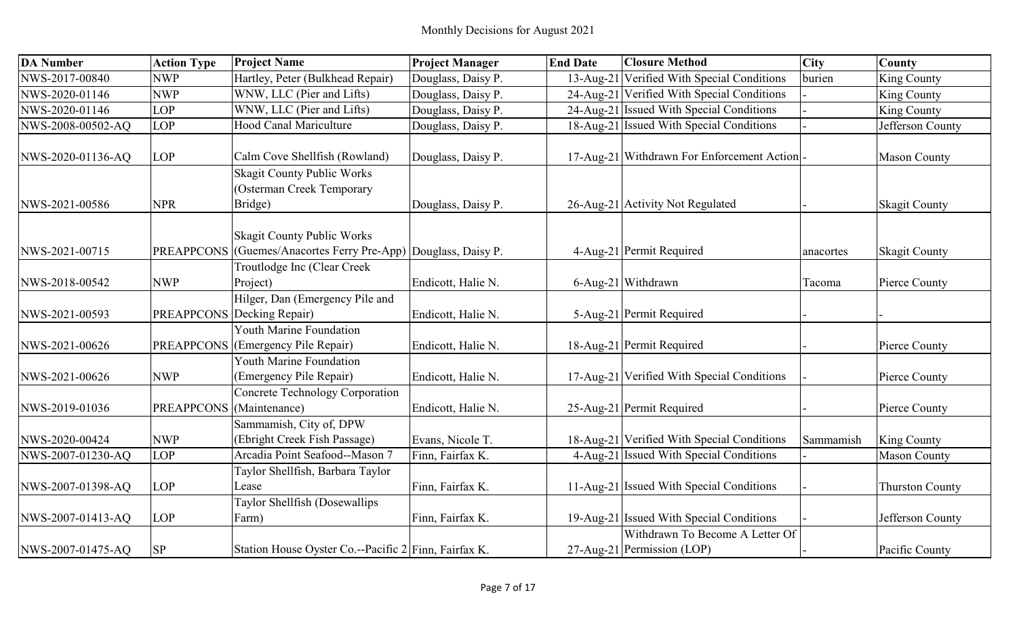| <b>DA Number</b>  | <b>Action Type</b> | <b>Project Name</b>                                                                      | <b>Project Manager</b> | <b>End Date</b> | <b>Closure Method</b>                                         | <b>City</b> | <b>County</b>          |
|-------------------|--------------------|------------------------------------------------------------------------------------------|------------------------|-----------------|---------------------------------------------------------------|-------------|------------------------|
| NWS-2017-00840    | <b>NWP</b>         | Hartley, Peter (Bulkhead Repair)                                                         | Douglass, Daisy P.     | $13$ -Aug-21    | Verified With Special Conditions                              | burien      | <b>King County</b>     |
| NWS-2020-01146    | <b>NWP</b>         | WNW, LLC (Pier and Lifts)                                                                | Douglass, Daisy P.     |                 | 24-Aug-21 Verified With Special Conditions                    |             | <b>King County</b>     |
| NWS-2020-01146    | LOP                | WNW, LLC (Pier and Lifts)                                                                | Douglass, Daisy P.     |                 | 24-Aug-21 Issued With Special Conditions                      |             | <b>King County</b>     |
| NWS-2008-00502-AQ | LOP                | <b>Hood Canal Mariculture</b>                                                            | Douglass, Daisy P.     |                 | 18-Aug-21 Issued With Special Conditions                      |             | Jefferson County       |
| NWS-2020-01136-AQ | <b>LOP</b>         | Calm Cove Shellfish (Rowland)                                                            | Douglass, Daisy P.     |                 | 17-Aug-21 Withdrawn For Enforcement Action                    |             | <b>Mason County</b>    |
| NWS-2021-00586    | <b>NPR</b>         | <b>Skagit County Public Works</b><br>Osterman Creek Temporary<br>Bridge)                 | Douglass, Daisy P.     |                 | 26-Aug-21 Activity Not Regulated                              |             | <b>Skagit County</b>   |
| NWS-2021-00715    | <b>PREAPPCONS</b>  | <b>Skagit County Public Works</b><br>(Guemes/Anacortes Ferry Pre-App) Douglass, Daisy P. |                        |                 | 4-Aug-21 Permit Required                                      | anacortes   | <b>Skagit County</b>   |
| NWS-2018-00542    | <b>NWP</b>         | Troutlodge Inc (Clear Creek<br>Project)                                                  | Endicott, Halie N.     |                 | 6-Aug-21 Withdrawn                                            | Tacoma      | Pierce County          |
| NWS-2021-00593    |                    | Hilger, Dan (Emergency Pile and<br><b>PREAPPCONS</b> Decking Repair)                     | Endicott, Halie N.     |                 | 5-Aug-21 Permit Required                                      |             |                        |
| NWS-2021-00626    | <b>PREAPPCONS</b>  | Youth Marine Foundation<br>(Emergency Pile Repair)                                       | Endicott, Halie N.     |                 | 18-Aug-21 Permit Required                                     |             | Pierce County          |
| NWS-2021-00626    | <b>NWP</b>         | Youth Marine Foundation<br>(Emergency Pile Repair)                                       | Endicott, Halie N.     |                 | 17-Aug-21 Verified With Special Conditions                    |             | Pierce County          |
| NWS-2019-01036    | <b>PREAPPCONS</b>  | <b>Concrete Technology Corporation</b><br>(Maintenance)                                  | Endicott, Halie N.     |                 | 25-Aug-21 Permit Required                                     |             | Pierce County          |
| NWS-2020-00424    | <b>NWP</b>         | Sammamish, City of, DPW<br>(Ebright Creek Fish Passage)                                  | Evans, Nicole T.       |                 | 18-Aug-21 Verified With Special Conditions                    | Sammamish   | <b>King County</b>     |
| NWS-2007-01230-AQ | <b>LOP</b>         | Arcadia Point Seafood--Mason 7                                                           | Finn, Fairfax K.       |                 | 4-Aug-21 Issued With Special Conditions                       |             | <b>Mason County</b>    |
| NWS-2007-01398-AQ | <b>LOP</b>         | Taylor Shellfish, Barbara Taylor<br>Lease                                                | Finn, Fairfax K.       |                 | 11-Aug-21 Issued With Special Conditions                      |             | <b>Thurston County</b> |
| NWS-2007-01413-AQ | <b>LOP</b>         | Taylor Shellfish (Dosewallips<br>Farm)                                                   | Finn, Fairfax K.       |                 | 19-Aug-21   Issued With Special Conditions                    |             | Jefferson County       |
| NWS-2007-01475-AQ | <b>SP</b>          | Station House Oyster Co.--Pacific 2 Finn, Fairfax K.                                     |                        |                 | Withdrawn To Become A Letter Of<br>27-Aug-21 Permission (LOP) |             | Pacific County         |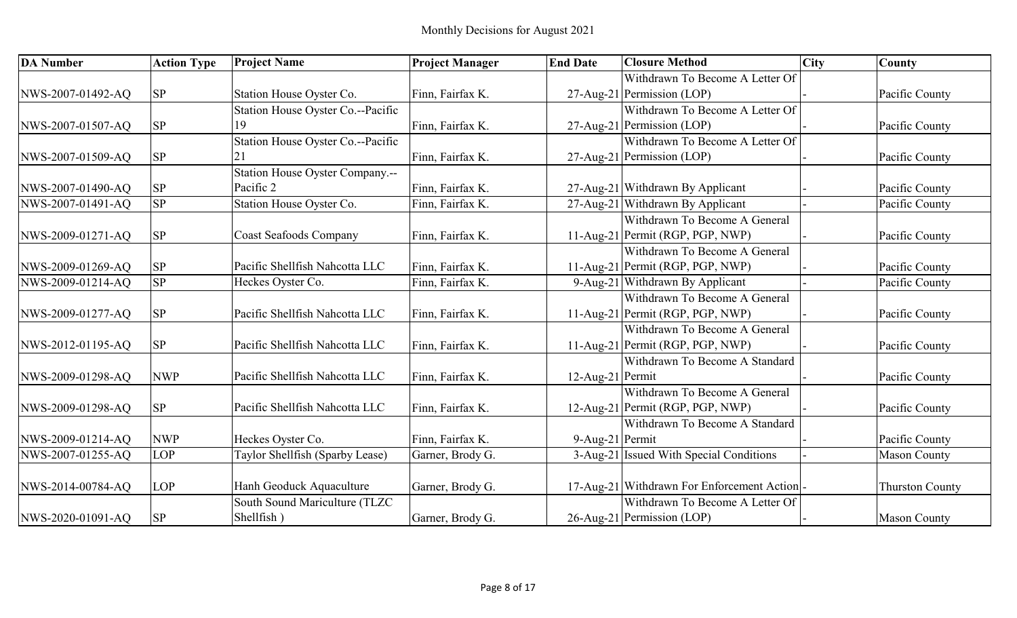| <b>DA Number</b>  | <b>Action Type</b> | <b>Project Name</b>               | <b>Project Manager</b> | <b>End Date</b>  | <b>Closure Method</b>                      | <b>City</b> | <b>County</b>          |
|-------------------|--------------------|-----------------------------------|------------------------|------------------|--------------------------------------------|-------------|------------------------|
|                   |                    |                                   |                        |                  | Withdrawn To Become A Letter Of            |             |                        |
| NWS-2007-01492-AQ | <b>SP</b>          | Station House Oyster Co.          | Finn, Fairfax K.       |                  | 27-Aug-21 Permission (LOP)                 |             | Pacific County         |
|                   |                    | Station House Oyster Co.--Pacific |                        |                  | Withdrawn To Become A Letter Of            |             |                        |
| NWS-2007-01507-AQ | <b>SP</b>          | Q                                 | Finn, Fairfax K.       |                  | 27-Aug-21 Permission (LOP)                 |             | Pacific County         |
|                   |                    | Station House Oyster Co.--Pacific |                        |                  | Withdrawn To Become A Letter Of            |             |                        |
| NWS-2007-01509-AQ | <b>SP</b>          | 21                                | Finn, Fairfax K.       |                  | 27-Aug-21 Permission (LOP)                 |             | Pacific County         |
|                   |                    | Station House Oyster Company.--   |                        |                  |                                            |             |                        |
| NWS-2007-01490-AQ | <b>SP</b>          | Pacific 2                         | Finn, Fairfax K.       |                  | 27-Aug-21 Withdrawn By Applicant           |             | Pacific County         |
| NWS-2007-01491-AQ | <b>SP</b>          | Station House Oyster Co.          | Finn, Fairfax K.       |                  | 27-Aug-21 Withdrawn By Applicant           |             | Pacific County         |
|                   |                    |                                   |                        |                  | Withdrawn To Become A General              |             |                        |
| NWS-2009-01271-AQ | <b>SP</b>          | Coast Seafoods Company            | Finn, Fairfax K.       |                  | 11-Aug-21 Permit (RGP, PGP, NWP)           |             | Pacific County         |
|                   |                    |                                   |                        |                  | Withdrawn To Become A General              |             |                        |
| NWS-2009-01269-AQ | <b>SP</b>          | Pacific Shellfish Nahcotta LLC    | Finn, Fairfax K.       |                  | 11-Aug-21 Permit (RGP, PGP, NWP)           |             | Pacific County         |
| NWS-2009-01214-AQ | <b>SP</b>          | Heckes Oyster Co.                 | Finn, Fairfax K.       |                  | 9-Aug-21 Withdrawn By Applicant            |             | Pacific County         |
|                   |                    |                                   |                        |                  | Withdrawn To Become A General              |             |                        |
| NWS-2009-01277-AQ | <b>SP</b>          | Pacific Shellfish Nahcotta LLC    | Finn, Fairfax K.       |                  | 11-Aug-21 Permit (RGP, PGP, NWP)           |             | Pacific County         |
|                   |                    |                                   |                        |                  | Withdrawn To Become A General              |             |                        |
| NWS-2012-01195-AQ | <b>SP</b>          | Pacific Shellfish Nahcotta LLC    | Finn, Fairfax K.       |                  | 11-Aug-21 Permit (RGP, PGP, NWP)           |             | Pacific County         |
|                   |                    |                                   |                        |                  | Withdrawn To Become A Standard             |             |                        |
| NWS-2009-01298-AQ | <b>NWP</b>         | Pacific Shellfish Nahcotta LLC    | Finn, Fairfax K.       | 12-Aug-21 Permit |                                            |             | Pacific County         |
|                   |                    |                                   |                        |                  | Withdrawn To Become A General              |             |                        |
| NWS-2009-01298-AQ | <b>SP</b>          | Pacific Shellfish Nahcotta LLC    | Finn, Fairfax K.       |                  | 12-Aug-21 Permit (RGP, PGP, NWP)           |             | Pacific County         |
|                   |                    |                                   |                        |                  | Withdrawn To Become A Standard             |             |                        |
| NWS-2009-01214-AQ | <b>NWP</b>         | Heckes Oyster Co.                 | Finn, Fairfax K.       | 9-Aug-21 Permit  |                                            |             | Pacific County         |
| NWS-2007-01255-AQ | LOP                | Taylor Shellfish (Sparby Lease)   | Garner, Brody G.       |                  | 3-Aug-21 Issued With Special Conditions    |             | <b>Mason County</b>    |
|                   |                    |                                   |                        |                  |                                            |             |                        |
| NWS-2014-00784-AQ | LOP                | Hanh Geoduck Aquaculture          | Garner, Brody G.       |                  | 17-Aug-21 Withdrawn For Enforcement Action |             | <b>Thurston County</b> |
|                   |                    | South Sound Mariculture (TLZC     |                        |                  | Withdrawn To Become A Letter Of            |             |                        |
| NWS-2020-01091-AQ | <b>SP</b>          | Shellfish)                        | Garner, Brody G.       |                  | 26-Aug-21 Permission (LOP)                 |             | <b>Mason County</b>    |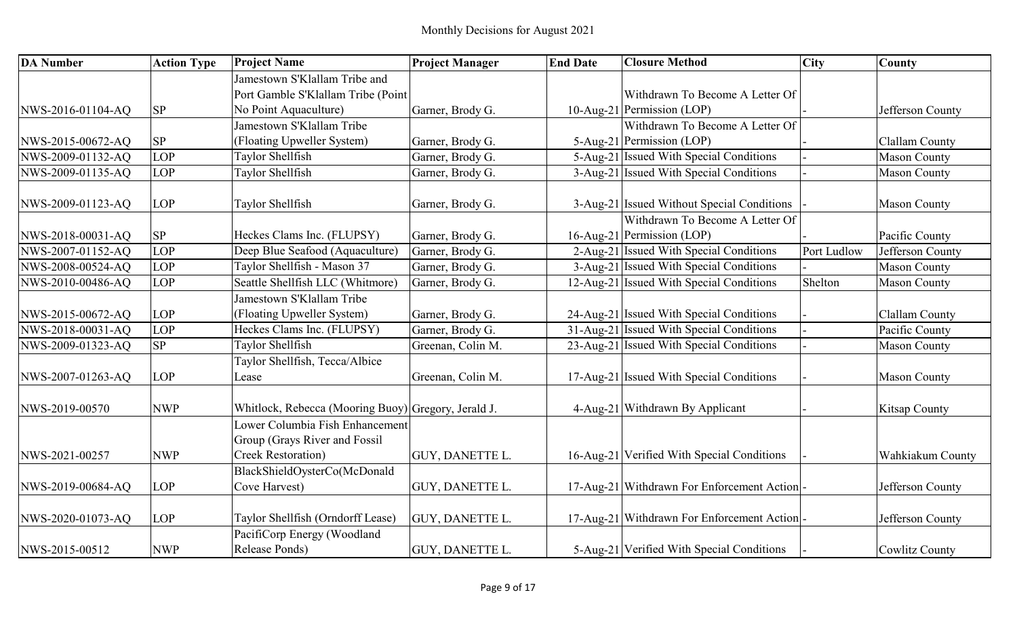| <b>DA</b> Number  | <b>Action Type</b> | <b>Project Name</b>                                 | <b>Project Manager</b> | <b>End Date</b> | <b>Closure Method</b>                      | <b>City</b> | <b>County</b>           |
|-------------------|--------------------|-----------------------------------------------------|------------------------|-----------------|--------------------------------------------|-------------|-------------------------|
|                   |                    | Jamestown S'Klallam Tribe and                       |                        |                 |                                            |             |                         |
|                   |                    | Port Gamble S'Klallam Tribe (Point                  |                        |                 | Withdrawn To Become A Letter Of            |             |                         |
| NWS-2016-01104-AQ | SP                 | No Point Aquaculture)                               | Garner, Brody G.       |                 | 10-Aug-21 Permission (LOP)                 |             | Jefferson County        |
|                   |                    | Jamestown S'Klallam Tribe                           |                        |                 | Withdrawn To Become A Letter Of            |             |                         |
| NWS-2015-00672-AQ | SP                 | (Floating Upweller System)                          | Garner, Brody G.       |                 | 5-Aug-21 Permission (LOP)                  |             | Clallam County          |
| NWS-2009-01132-AQ | LOP                | Taylor Shellfish                                    | Garner, Brody G.       |                 | 5-Aug-21 Issued With Special Conditions    |             | <b>Mason County</b>     |
| NWS-2009-01135-AQ | <b>LOP</b>         | Taylor Shellfish                                    | Garner, Brody G.       |                 | 3-Aug-21 Issued With Special Conditions    |             | <b>Mason County</b>     |
|                   |                    |                                                     |                        |                 |                                            |             |                         |
| NWS-2009-01123-AQ | LOP                | Taylor Shellfish                                    | Garner, Brody G.       |                 | 3-Aug-21 Issued Without Special Conditions |             | <b>Mason County</b>     |
|                   |                    |                                                     |                        |                 | Withdrawn To Become A Letter Of            |             |                         |
| NWS-2018-00031-AQ | SP                 | Heckes Clams Inc. (FLUPSY)                          | Garner, Brody G.       |                 | 16-Aug-21 Permission (LOP)                 |             | Pacific County          |
| NWS-2007-01152-AQ | LOP                | Deep Blue Seafood (Aquaculture)                     | Garner, Brody G.       |                 | 2-Aug-21 Issued With Special Conditions    | Port Ludlow | Jefferson County        |
| NWS-2008-00524-AQ | LOP                | Taylor Shellfish - Mason 37                         | Garner, Brody G.       |                 | 3-Aug-21 Issued With Special Conditions    |             | <b>Mason County</b>     |
| NWS-2010-00486-AQ | LOP                | Seattle Shellfish LLC (Whitmore)                    | Garner, Brody G.       |                 | 12-Aug-21 Issued With Special Conditions   | Shelton     | <b>Mason County</b>     |
|                   |                    | Jamestown S'Klallam Tribe                           |                        |                 |                                            |             |                         |
| NWS-2015-00672-AQ | LOP                | (Floating Upweller System)                          | Garner, Brody G.       |                 | 24-Aug-21 Issued With Special Conditions   |             | Clallam County          |
| NWS-2018-00031-AQ | LOP                | Heckes Clams Inc. (FLUPSY)                          | Garner, Brody G.       |                 | 31-Aug-21 Issued With Special Conditions   |             | Pacific County          |
| NWS-2009-01323-AQ | SP                 | Taylor Shellfish                                    | Greenan, Colin M.      |                 | 23-Aug-21 Issued With Special Conditions   |             | <b>Mason County</b>     |
|                   |                    | Taylor Shellfish, Tecca/Albice                      |                        |                 |                                            |             |                         |
| NWS-2007-01263-AQ | LOP                | Lease                                               | Greenan, Colin M.      |                 | 17-Aug-21 Issued With Special Conditions   |             | <b>Mason County</b>     |
| NWS-2019-00570    | <b>NWP</b>         | Whitlock, Rebecca (Mooring Buoy) Gregory, Jerald J. |                        |                 | 4-Aug-21 Withdrawn By Applicant            |             | <b>Kitsap County</b>    |
|                   |                    | Lower Columbia Fish Enhancement                     |                        |                 |                                            |             |                         |
|                   |                    | Group (Grays River and Fossil                       |                        |                 |                                            |             |                         |
| NWS-2021-00257    | <b>NWP</b>         | <b>Creek Restoration)</b>                           | <b>GUY, DANETTE L.</b> |                 | 16-Aug-21 Verified With Special Conditions |             | <b>Wahkiakum County</b> |
|                   |                    | BlackShieldOysterCo(McDonald                        |                        |                 |                                            |             |                         |
| NWS-2019-00684-AQ | LOP                | Cove Harvest)                                       | GUY, DANETTE L.        |                 | 17-Aug-21 Withdrawn For Enforcement Action |             | Jefferson County        |
|                   |                    |                                                     |                        |                 |                                            |             |                         |
| NWS-2020-01073-AQ | LOP                | Taylor Shellfish (Orndorff Lease)                   | <b>GUY, DANETTE L.</b> |                 | 17-Aug-21 Withdrawn For Enforcement Action |             | Jefferson County        |
|                   |                    | PacifiCorp Energy (Woodland                         |                        |                 |                                            |             |                         |
| NWS-2015-00512    | <b>NWP</b>         | Release Ponds)                                      | <b>GUY, DANETTE L.</b> |                 | 5-Aug-21 Verified With Special Conditions  |             | Cowlitz County          |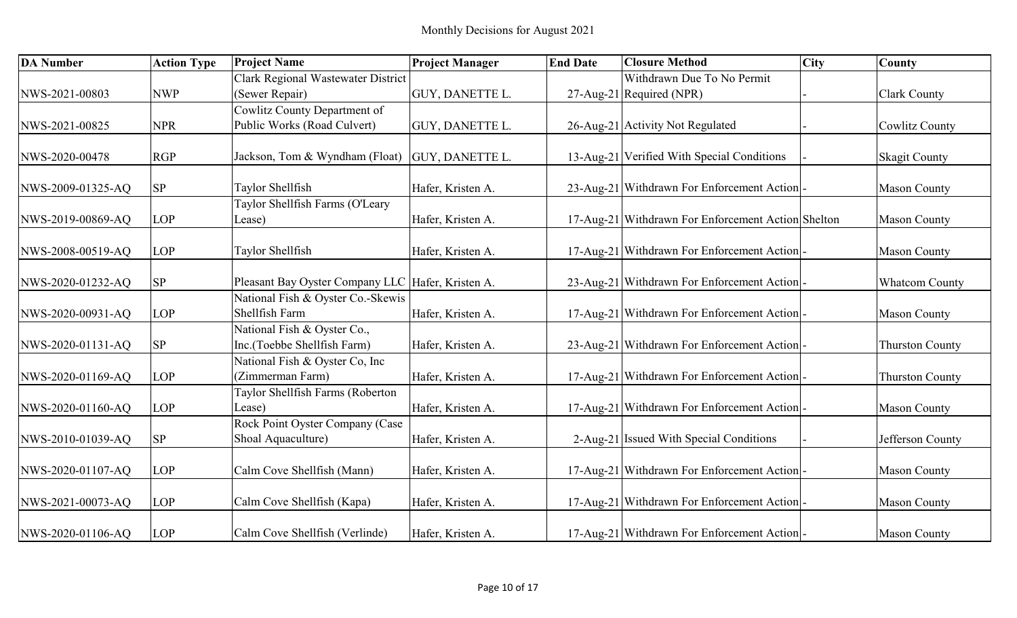| <b>DA Number</b>  | <b>Action Type</b> | <b>Project Name</b>                                        | <b>Project Manager</b> | <b>End Date</b> | <b>Closure Method</b>                              | <b>City</b> | County                 |
|-------------------|--------------------|------------------------------------------------------------|------------------------|-----------------|----------------------------------------------------|-------------|------------------------|
|                   |                    | Clark Regional Wastewater District                         |                        |                 | Withdrawn Due To No Permit                         |             |                        |
| NWS-2021-00803    | <b>NWP</b>         | (Sewer Repair)                                             | GUY, DANETTE L.        |                 | 27-Aug-21 Required (NPR)                           |             | <b>Clark County</b>    |
|                   |                    | Cowlitz County Department of                               |                        |                 |                                                    |             |                        |
| NWS-2021-00825    | <b>NPR</b>         | Public Works (Road Culvert)                                | GUY, DANETTE L.        |                 | 26-Aug-21 Activity Not Regulated                   |             | <b>Cowlitz County</b>  |
|                   |                    |                                                            |                        |                 |                                                    |             |                        |
| NWS-2020-00478    | <b>RGP</b>         | Jackson, Tom & Wyndham (Float) GUY, DANETTE L.             |                        |                 | 13-Aug-21 Verified With Special Conditions         |             | <b>Skagit County</b>   |
|                   |                    |                                                            |                        |                 |                                                    |             |                        |
| NWS-2009-01325-AQ | <b>SP</b>          | Taylor Shellfish                                           | Hafer, Kristen A.      |                 | 23-Aug-21 Withdrawn For Enforcement Action         |             | <b>Mason County</b>    |
|                   |                    | Taylor Shellfish Farms (O'Leary                            |                        |                 |                                                    |             |                        |
| NWS-2019-00869-AQ | <b>LOP</b>         | Lease)                                                     | Hafer, Kristen A.      |                 | 17-Aug-21 Withdrawn For Enforcement Action Shelton |             | <b>Mason County</b>    |
|                   |                    |                                                            |                        |                 |                                                    |             |                        |
| NWS-2008-00519-AQ | <b>LOP</b>         | Taylor Shellfish                                           | Hafer, Kristen A.      |                 | 17-Aug-21 Withdrawn For Enforcement Action         |             | <b>Mason County</b>    |
|                   |                    |                                                            |                        |                 |                                                    |             |                        |
| NWS-2020-01232-AQ | <b>SP</b>          | Pleasant Bay Oyster Company LLC Hafer, Kristen A.          |                        |                 | 23-Aug-21 Withdrawn For Enforcement Action         |             | <b>Whatcom County</b>  |
|                   |                    | National Fish & Oyster Co.-Skewis<br>Shellfish Farm        |                        |                 |                                                    |             |                        |
| NWS-2020-00931-AQ | <b>LOP</b>         |                                                            | Hafer, Kristen A.      |                 | 17-Aug-21 Withdrawn For Enforcement Action         |             | <b>Mason County</b>    |
|                   |                    | National Fish & Oyster Co.,<br>Inc.(Toebbe Shellfish Farm) |                        |                 |                                                    |             |                        |
| NWS-2020-01131-AQ | <b>SP</b>          |                                                            | Hafer, Kristen A.      |                 | 23-Aug-21 Withdrawn For Enforcement Action         |             | <b>Thurston County</b> |
|                   | LOP                | National Fish & Oyster Co, Inc<br>(Zimmerman Farm)         |                        |                 |                                                    |             |                        |
| NWS-2020-01169-AQ |                    | Taylor Shellfish Farms (Roberton                           | Hafer, Kristen A.      |                 | 17-Aug-21 Withdrawn For Enforcement Action         |             | <b>Thurston County</b> |
| NWS-2020-01160-AQ | LOP                | Lease)                                                     | Hafer, Kristen A.      |                 | 17-Aug-21 Withdrawn For Enforcement Action         |             | <b>Mason County</b>    |
|                   |                    | Rock Point Oyster Company (Case                            |                        |                 |                                                    |             |                        |
| NWS-2010-01039-AQ | <b>SP</b>          | Shoal Aquaculture)                                         | Hafer, Kristen A.      |                 | 2-Aug-21 Issued With Special Conditions            |             | Jefferson County       |
|                   |                    |                                                            |                        |                 |                                                    |             |                        |
| NWS-2020-01107-AQ | LOP                | Calm Cove Shellfish (Mann)                                 | Hafer, Kristen A.      |                 | 17-Aug-21 Withdrawn For Enforcement Action         |             | <b>Mason County</b>    |
|                   |                    |                                                            |                        |                 |                                                    |             |                        |
| NWS-2021-00073-AQ | LOP                | Calm Cove Shellfish (Kapa)                                 | Hafer, Kristen A.      |                 | 17-Aug-21 Withdrawn For Enforcement Action         |             | <b>Mason County</b>    |
|                   |                    |                                                            |                        |                 |                                                    |             |                        |
| NWS-2020-01106-AQ | <b>LOP</b>         | Calm Cove Shellfish (Verlinde)                             | Hafer, Kristen A.      |                 | 17-Aug-21 Withdrawn For Enforcement Action         |             | <b>Mason County</b>    |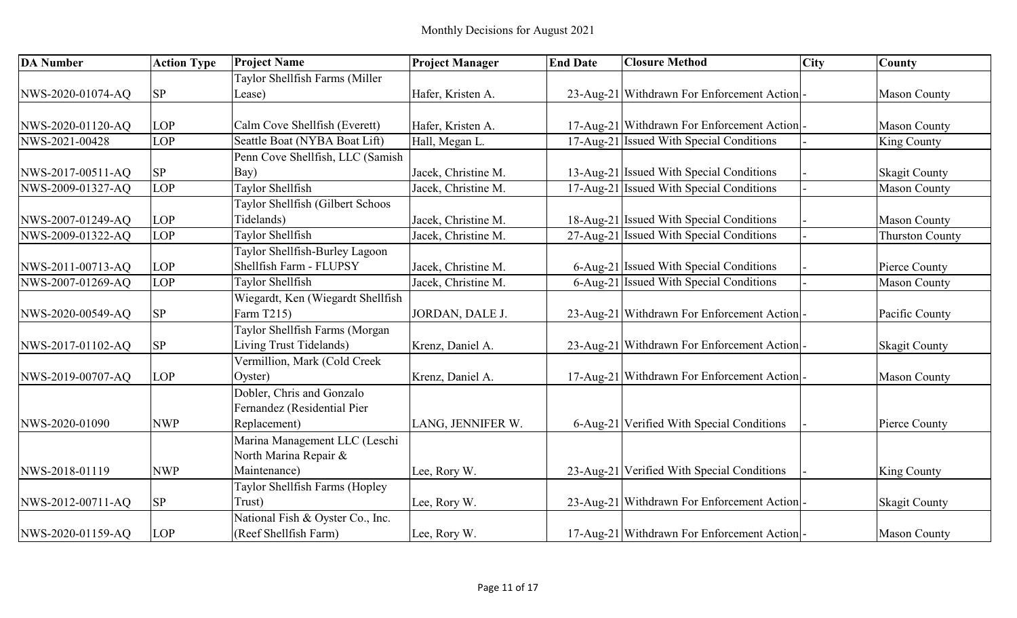| <b>DA Number</b>  | <b>Action Type</b>         | <b>Project Name</b>               | <b>Project Manager</b> | <b>End Date</b> | <b>Closure Method</b>                      | <b>City</b> | <b>County</b>          |
|-------------------|----------------------------|-----------------------------------|------------------------|-----------------|--------------------------------------------|-------------|------------------------|
|                   |                            | Taylor Shellfish Farms (Miller    |                        |                 |                                            |             |                        |
| NWS-2020-01074-AQ | ${\rm SP}$                 | Lease)                            | Hafer, Kristen A.      |                 | 23-Aug-21 Withdrawn For Enforcement Action |             | <b>Mason County</b>    |
|                   |                            |                                   |                        |                 |                                            |             |                        |
| NWS-2020-01120-AQ | LOP                        | Calm Cove Shellfish (Everett)     | Hafer, Kristen A.      |                 | 17-Aug-21 Withdrawn For Enforcement Action |             | <b>Mason County</b>    |
| NWS-2021-00428    | LOP                        | Seattle Boat (NYBA Boat Lift)     | Hall, Megan L.         |                 | 17-Aug-21 Issued With Special Conditions   |             | <b>King County</b>     |
|                   |                            | Penn Cove Shellfish, LLC (Samish  |                        |                 |                                            |             |                        |
| NWS-2017-00511-AQ | $\ensuremath{\mathrm{SP}}$ | Bay)                              | Jacek, Christine M.    |                 | 13-Aug-21 Issued With Special Conditions   |             | <b>Skagit County</b>   |
| NWS-2009-01327-AQ | LOP                        | Taylor Shellfish                  | Jacek, Christine M.    |                 | 17-Aug-21 Issued With Special Conditions   |             | <b>Mason County</b>    |
|                   |                            | Taylor Shellfish (Gilbert Schoos  |                        |                 |                                            |             |                        |
| NWS-2007-01249-AQ | LOP                        | Tidelands)                        | Jacek, Christine M.    |                 | 18-Aug-21 Issued With Special Conditions   |             | <b>Mason County</b>    |
| NWS-2009-01322-AQ | LOP                        | Taylor Shellfish                  | Jacek, Christine M.    |                 | 27-Aug-21 Issued With Special Conditions   |             | <b>Thurston County</b> |
|                   |                            | Taylor Shellfish-Burley Lagoon    |                        |                 |                                            |             |                        |
| NWS-2011-00713-AQ | LOP                        | Shellfish Farm - FLUPSY           | Jacek, Christine M.    |                 | 6-Aug-21 Issued With Special Conditions    |             | Pierce County          |
| NWS-2007-01269-AQ | LOP                        | Taylor Shellfish                  | Jacek, Christine M.    |                 | 6-Aug-21 Issued With Special Conditions    |             | <b>Mason County</b>    |
|                   |                            | Wiegardt, Ken (Wiegardt Shellfish |                        |                 |                                            |             |                        |
| NWS-2020-00549-AQ | ${\rm SP}$                 | Farm T215)                        | JORDAN, DALE J.        |                 | 23-Aug-21 Withdrawn For Enforcement Action |             | Pacific County         |
|                   |                            | Taylor Shellfish Farms (Morgan    |                        |                 |                                            |             |                        |
| NWS-2017-01102-AQ | ${\rm SP}$                 | Living Trust Tidelands)           | Krenz, Daniel A.       |                 | 23-Aug-21 Withdrawn For Enforcement Action |             | <b>Skagit County</b>   |
|                   |                            | Vermillion, Mark (Cold Creek      |                        |                 |                                            |             |                        |
| NWS-2019-00707-AQ | LOP                        | Oyster)                           | Krenz, Daniel A.       |                 | 17-Aug-21 Withdrawn For Enforcement Action |             | <b>Mason County</b>    |
|                   |                            | Dobler, Chris and Gonzalo         |                        |                 |                                            |             |                        |
|                   |                            | Fernandez (Residential Pier       |                        |                 |                                            |             |                        |
| NWS-2020-01090    | <b>NWP</b>                 | Replacement)                      | LANG, JENNIFER W.      |                 | 6-Aug-21 Verified With Special Conditions  |             | Pierce County          |
|                   |                            | Marina Management LLC (Leschi     |                        |                 |                                            |             |                        |
|                   |                            | North Marina Repair &             |                        |                 |                                            |             |                        |
| NWS-2018-01119    | <b>NWP</b>                 | Maintenance)                      | Lee, Rory W.           |                 | 23-Aug-21 Verified With Special Conditions |             | <b>King County</b>     |
|                   |                            | Taylor Shellfish Farms (Hopley    |                        |                 |                                            |             |                        |
| NWS-2012-00711-AQ | ${\rm SP}$                 | Trust)                            | Lee, Rory W.           |                 | 23-Aug-21 Withdrawn For Enforcement Action |             | <b>Skagit County</b>   |
|                   |                            | National Fish & Oyster Co., Inc.  |                        |                 |                                            |             |                        |
| NWS-2020-01159-AQ | <b>LOP</b>                 | (Reef Shellfish Farm)             | Lee, Rory W.           |                 | 17-Aug-21 Withdrawn For Enforcement Action |             | <b>Mason County</b>    |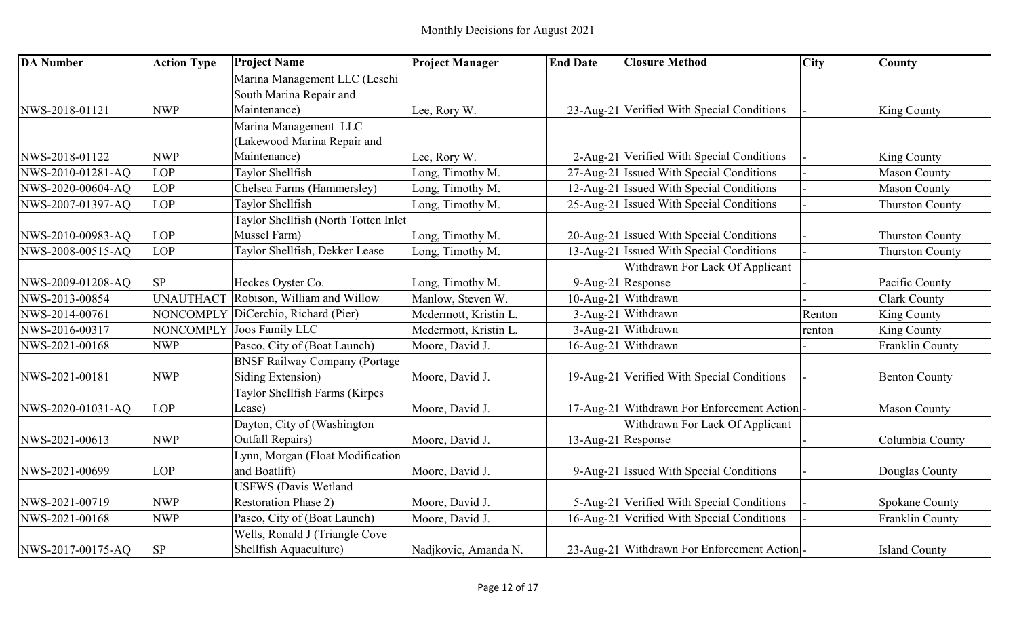| <b>DA</b> Number  | <b>Action Type</b> | <b>Project Name</b>                   | <b>Project Manager</b> | <b>End Date</b>    | <b>Closure Method</b>                      | <b>City</b> | County                 |
|-------------------|--------------------|---------------------------------------|------------------------|--------------------|--------------------------------------------|-------------|------------------------|
|                   |                    | Marina Management LLC (Leschi         |                        |                    |                                            |             |                        |
|                   |                    | South Marina Repair and               |                        |                    |                                            |             |                        |
| NWS-2018-01121    | <b>NWP</b>         | Maintenance)                          | Lee, Rory W.           |                    | 23-Aug-21 Verified With Special Conditions |             | King County            |
|                   |                    | Marina Management LLC                 |                        |                    |                                            |             |                        |
|                   |                    | (Lakewood Marina Repair and           |                        |                    |                                            |             |                        |
| NWS-2018-01122    | <b>NWP</b>         | Maintenance)                          | Lee, Rory W.           |                    | 2-Aug-21 Verified With Special Conditions  |             | King County            |
| NWS-2010-01281-AQ | <b>LOP</b>         | Taylor Shellfish                      | Long, Timothy M.       |                    | 27-Aug-21 Issued With Special Conditions   |             | <b>Mason County</b>    |
| NWS-2020-00604-AQ | LOP                | Chelsea Farms (Hammersley)            | Long, Timothy M.       |                    | 12-Aug-21 Issued With Special Conditions   |             | <b>Mason County</b>    |
| NWS-2007-01397-AQ | LOP                | Taylor Shellfish                      | Long, Timothy M.       |                    | 25-Aug-21 Issued With Special Conditions   |             | <b>Thurston County</b> |
|                   |                    | Taylor Shellfish (North Totten Inlet  |                        |                    |                                            |             |                        |
| NWS-2010-00983-AQ | LOP                | Mussel Farm)                          | Long, Timothy M.       |                    | 20-Aug-21 Issued With Special Conditions   |             | <b>Thurston County</b> |
| NWS-2008-00515-AQ | LOP                | Taylor Shellfish, Dekker Lease        | Long, Timothy M.       |                    | 13-Aug-21 Issued With Special Conditions   |             | <b>Thurston County</b> |
|                   |                    |                                       |                        |                    | Withdrawn For Lack Of Applicant            |             |                        |
| NWS-2009-01208-AQ | <b>SP</b>          | Heckes Oyster Co.                     | Long, Timothy M.       |                    | 9-Aug-21 Response                          |             | Pacific County         |
| NWS-2013-00854    | <b>UNAUTHACT</b>   | Robison, William and Willow           | Manlow, Steven W.      |                    | 10-Aug-21 Withdrawn                        |             | <b>Clark County</b>    |
| NWS-2014-00761    | NONCOMPLY          | DiCerchio, Richard (Pier)             | Mcdermott, Kristin L.  |                    | 3-Aug-21 Withdrawn                         | Renton      | King County            |
| NWS-2016-00317    | NONCOMPLY          | Joos Family LLC                       | Mcdermott, Kristin L   |                    | 3-Aug-21 Withdrawn                         | renton      | King County            |
| NWS-2021-00168    | <b>NWP</b>         | Pasco, City of (Boat Launch)          | Moore, David J.        |                    | 16-Aug-21 Withdrawn                        |             | Franklin County        |
|                   |                    | <b>BNSF Railway Company (Portage)</b> |                        |                    |                                            |             |                        |
| NWS-2021-00181    | <b>NWP</b>         | Siding Extension)                     | Moore, David J.        |                    | 19-Aug-21 Verified With Special Conditions |             | <b>Benton County</b>   |
|                   |                    | Taylor Shellfish Farms (Kirpes        |                        |                    |                                            |             |                        |
| NWS-2020-01031-AQ | <b>LOP</b>         | Lease)                                | Moore, David J.        |                    | 17-Aug-21 Withdrawn For Enforcement Action |             | <b>Mason County</b>    |
|                   |                    | Dayton, City of (Washington           |                        |                    | Withdrawn For Lack Of Applicant            |             |                        |
| NWS-2021-00613    | <b>NWP</b>         | <b>Outfall Repairs)</b>               | Moore, David J.        | 13-Aug-21 Response |                                            |             | Columbia County        |
|                   |                    | Lynn, Morgan (Float Modification      |                        |                    |                                            |             |                        |
| NWS-2021-00699    | LOP                | and Boatlift)                         | Moore, David J.        |                    | 9-Aug-21 Issued With Special Conditions    |             | Douglas County         |
|                   |                    | <b>USFWS</b> (Davis Wetland           |                        |                    |                                            |             |                        |
| NWS-2021-00719    | <b>NWP</b>         | <b>Restoration Phase 2)</b>           | Moore, David J.        |                    | 5-Aug-21 Verified With Special Conditions  |             | <b>Spokane County</b>  |
| NWS-2021-00168    | <b>NWP</b>         | Pasco, City of (Boat Launch)          | Moore, David J.        |                    | 16-Aug-21 Verified With Special Conditions |             | Franklin County        |
|                   |                    | Wells, Ronald J (Triangle Cove        |                        |                    |                                            |             |                        |
| NWS-2017-00175-AQ | <b>SP</b>          | Shellfish Aquaculture)                | Nadjkovic, Amanda N.   |                    | 23-Aug-21 Withdrawn For Enforcement Action |             | <b>Island County</b>   |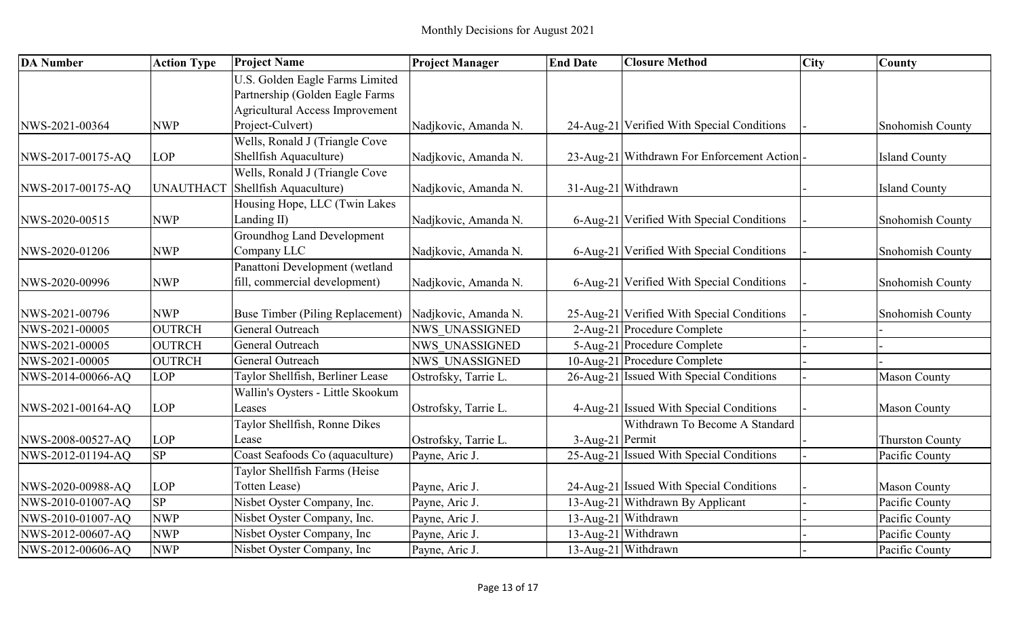| <b>DA Number</b>  | <b>Action Type</b> | <b>Project Name</b>                     | <b>Project Manager</b> | <b>End Date</b> | <b>Closure Method</b>                      | <b>City</b> | County                 |
|-------------------|--------------------|-----------------------------------------|------------------------|-----------------|--------------------------------------------|-------------|------------------------|
|                   |                    | U.S. Golden Eagle Farms Limited         |                        |                 |                                            |             |                        |
|                   |                    | Partnership (Golden Eagle Farms         |                        |                 |                                            |             |                        |
|                   |                    | <b>Agricultural Access Improvement</b>  |                        |                 |                                            |             |                        |
| NWS-2021-00364    | <b>NWP</b>         | Project-Culvert)                        | Nadjkovic, Amanda N.   |                 | 24-Aug-21 Verified With Special Conditions |             | Snohomish County       |
|                   |                    | Wells, Ronald J (Triangle Cove          |                        |                 |                                            |             |                        |
| NWS-2017-00175-AQ | <b>LOP</b>         | Shellfish Aquaculture)                  | Nadjkovic, Amanda N.   |                 | 23-Aug-21 Withdrawn For Enforcement Action |             | <b>Island County</b>   |
|                   |                    | Wells, Ronald J (Triangle Cove          |                        |                 |                                            |             |                        |
| NWS-2017-00175-AQ | <b>UNAUTHACT</b>   | Shellfish Aquaculture)                  | Nadjkovic, Amanda N.   |                 | 31-Aug-21 Withdrawn                        |             | <b>Island County</b>   |
|                   |                    | Housing Hope, LLC (Twin Lakes           |                        |                 |                                            |             |                        |
| NWS-2020-00515    | <b>NWP</b>         | Landing II)                             | Nadjkovic, Amanda N.   |                 | 6-Aug-21 Verified With Special Conditions  |             | Snohomish County       |
|                   |                    | <b>Groundhog Land Development</b>       |                        |                 |                                            |             |                        |
| NWS-2020-01206    | <b>NWP</b>         | Company LLC                             | Nadjkovic, Amanda N.   |                 | 6-Aug-21 Verified With Special Conditions  |             | Snohomish County       |
|                   |                    | Panattoni Development (wetland          |                        |                 |                                            |             |                        |
| NWS-2020-00996    | <b>NWP</b>         | fill, commercial development)           | Nadjkovic, Amanda N.   |                 | 6-Aug-21 Verified With Special Conditions  |             | Snohomish County       |
|                   |                    |                                         |                        |                 |                                            |             |                        |
| NWS-2021-00796    | <b>NWP</b>         | <b>Buse Timber (Piling Replacement)</b> | Nadjkovic, Amanda N.   |                 | 25-Aug-21 Verified With Special Conditions |             | Snohomish County       |
| NWS-2021-00005    | <b>OUTRCH</b>      | General Outreach                        | <b>NWS UNASSIGNED</b>  |                 | 2-Aug-21 Procedure Complete                |             |                        |
| NWS-2021-00005    | <b>OUTRCH</b>      | General Outreach                        | <b>NWS UNASSIGNED</b>  |                 | 5-Aug-21 Procedure Complete                |             |                        |
| NWS-2021-00005    | <b>OUTRCH</b>      | General Outreach                        | <b>NWS UNASSIGNED</b>  |                 | 10-Aug-21 Procedure Complete               |             |                        |
| NWS-2014-00066-AQ | <b>LOP</b>         | Taylor Shellfish, Berliner Lease        | Ostrofsky, Tarrie L.   |                 | 26-Aug-21 Issued With Special Conditions   |             | <b>Mason County</b>    |
|                   |                    | Wallin's Oysters - Little Skookum       |                        |                 |                                            |             |                        |
| NWS-2021-00164-AQ | LOP                | Leases                                  | Ostrofsky, Tarrie L.   |                 | 4-Aug-21 Issued With Special Conditions    |             | <b>Mason County</b>    |
|                   |                    | Taylor Shellfish, Ronne Dikes           |                        |                 | Withdrawn To Become A Standard             |             |                        |
| NWS-2008-00527-AQ | LOP                | Lease                                   | Ostrofsky, Tarrie L.   | 3-Aug-21 Permit |                                            |             | <b>Thurston County</b> |
| NWS-2012-01194-AQ | SP                 | Coast Seafoods Co (aquaculture)         | Payne, Aric J.         |                 | 25-Aug-21 Issued With Special Conditions   |             | Pacific County         |
|                   |                    | Taylor Shellfish Farms (Heise           |                        |                 |                                            |             |                        |
| NWS-2020-00988-AQ | LOP                | Totten Lease)                           | Payne, Aric J.         |                 | 24-Aug-21 Issued With Special Conditions   |             | <b>Mason County</b>    |
| NWS-2010-01007-AQ | SP                 | Nisbet Oyster Company, Inc.             | Payne, Aric J.         |                 | 13-Aug-21 Withdrawn By Applicant           |             | Pacific County         |
| NWS-2010-01007-AQ | <b>NWP</b>         | Nisbet Oyster Company, Inc.             | Payne, Aric J.         |                 | 13-Aug-21 Withdrawn                        |             | Pacific County         |
| NWS-2012-00607-AQ | <b>NWP</b>         | Nisbet Oyster Company, Inc              | Payne, Aric J.         |                 | 13-Aug-21 Withdrawn                        |             | Pacific County         |
| NWS-2012-00606-AQ | <b>NWP</b>         | Nisbet Oyster Company, Inc              | Payne, Aric J.         |                 | 13-Aug-21 Withdrawn                        |             | Pacific County         |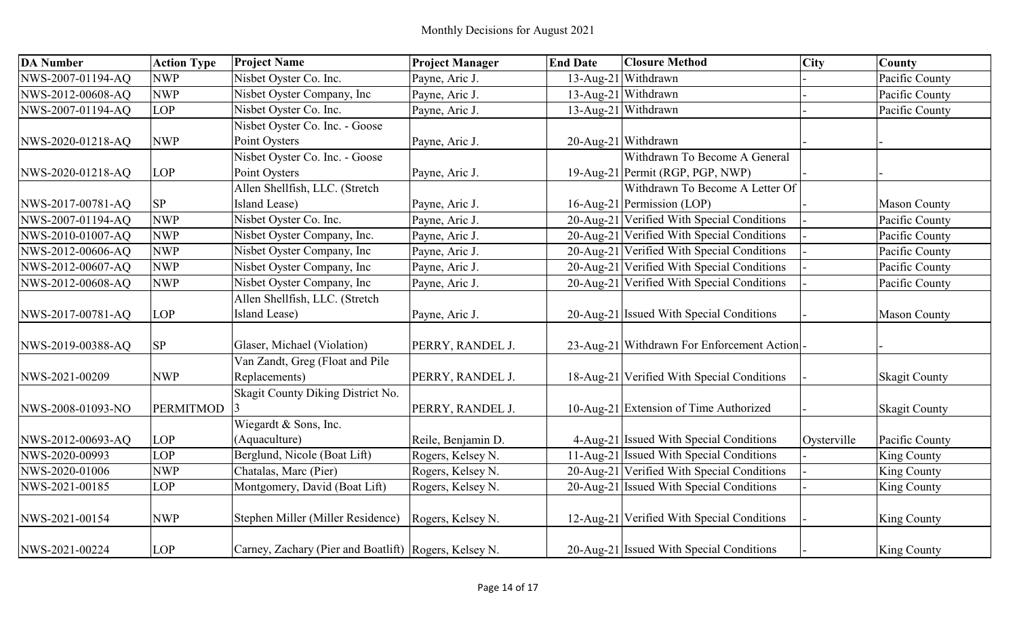| <b>DA Number</b>  | <b>Action Type</b> | <b>Project Name</b>                                     | <b>Project Manager</b> | <b>End Date</b> | <b>Closure Method</b>                      | <b>City</b> | County               |
|-------------------|--------------------|---------------------------------------------------------|------------------------|-----------------|--------------------------------------------|-------------|----------------------|
| NWS-2007-01194-AQ | <b>NWP</b>         | Nisbet Oyster Co. Inc.                                  | Payne, Aric J.         |                 | 13-Aug-21 Withdrawn                        |             | Pacific County       |
| NWS-2012-00608-AQ | <b>NWP</b>         | Nisbet Oyster Company, Inc                              | Payne, Aric J.         |                 | 13-Aug-21 Withdrawn                        |             | Pacific County       |
| NWS-2007-01194-AQ | LOP                | Nisbet Oyster Co. Inc.                                  | Payne, Aric J.         |                 | 13-Aug-21 Withdrawn                        |             | Pacific County       |
|                   |                    | Nisbet Oyster Co. Inc. - Goose                          |                        |                 |                                            |             |                      |
| NWS-2020-01218-AQ | <b>NWP</b>         | Point Oysters                                           | Payne, Aric J.         |                 | 20-Aug-21 Withdrawn                        |             |                      |
|                   |                    | Nisbet Oyster Co. Inc. - Goose                          |                        |                 | Withdrawn To Become A General              |             |                      |
| NWS-2020-01218-AQ | LOP                | Point Oysters                                           | Payne, Aric J.         |                 | 19-Aug-21 Permit (RGP, PGP, NWP)           |             |                      |
|                   |                    | Allen Shellfish, LLC. (Stretch                          |                        |                 | Withdrawn To Become A Letter Of            |             |                      |
| NWS-2017-00781-AQ | SP                 | Island Lease)                                           | Payne, Aric J.         |                 | 16-Aug-21 Permission (LOP)                 |             | <b>Mason County</b>  |
| NWS-2007-01194-AQ | <b>NWP</b>         | Nisbet Oyster Co. Inc.                                  | Payne, Aric J.         |                 | 20-Aug-21 Verified With Special Conditions |             | Pacific County       |
| NWS-2010-01007-AQ | <b>NWP</b>         | Nisbet Oyster Company, Inc.                             | Payne, Aric J.         |                 | 20-Aug-21 Verified With Special Conditions |             | Pacific County       |
| NWS-2012-00606-AQ | <b>NWP</b>         | Nisbet Oyster Company, Inc                              | Payne, Aric J.         |                 | 20-Aug-21 Verified With Special Conditions |             | Pacific County       |
| NWS-2012-00607-AQ | <b>NWP</b>         | Nisbet Oyster Company, Inc                              | Payne, Aric J.         |                 | 20-Aug-21 Verified With Special Conditions |             | Pacific County       |
| NWS-2012-00608-AQ | <b>NWP</b>         | Nisbet Oyster Company, Inc                              | Payne, Aric J.         |                 | 20-Aug-21 Verified With Special Conditions |             | Pacific County       |
|                   |                    | Allen Shellfish, LLC. (Stretch                          |                        |                 |                                            |             |                      |
| NWS-2017-00781-AQ | LOP                | Island Lease)                                           | Payne, Aric J.         |                 | 20-Aug-21 Issued With Special Conditions   |             | <b>Mason County</b>  |
|                   |                    |                                                         |                        |                 |                                            |             |                      |
| NWS-2019-00388-AQ | $\rm SP$           | Glaser, Michael (Violation)                             | PERRY, RANDEL J.       |                 | 23-Aug-21 Withdrawn For Enforcement Action |             |                      |
|                   |                    | Van Zandt, Greg (Float and Pile                         |                        |                 |                                            |             |                      |
| NWS-2021-00209    | <b>NWP</b>         | Replacements)                                           | PERRY, RANDEL J.       |                 | 18-Aug-21 Verified With Special Conditions |             | <b>Skagit County</b> |
|                   |                    | Skagit County Diking District No.                       |                        |                 |                                            |             |                      |
| NWS-2008-01093-NO | <b>PERMITMOD</b>   |                                                         | PERRY, RANDEL J.       |                 | 10-Aug-21 Extension of Time Authorized     |             | <b>Skagit County</b> |
|                   |                    | Wiegardt & Sons, Inc.                                   |                        |                 |                                            |             |                      |
| NWS-2012-00693-AQ | <b>LOP</b>         | (Aquaculture)                                           | Reile, Benjamin D.     |                 | 4-Aug-21 Issued With Special Conditions    | Oysterville | Pacific County       |
| NWS-2020-00993    | LOP                | Berglund, Nicole (Boat Lift)                            | Rogers, Kelsey N.      |                 | 11-Aug-21 Issued With Special Conditions   |             | <b>King County</b>   |
| NWS-2020-01006    | <b>NWP</b>         | Chatalas, Marc (Pier)                                   | Rogers, Kelsey N.      |                 | 20-Aug-21 Verified With Special Conditions |             | King County          |
| NWS-2021-00185    | LOP                | Montgomery, David (Boat Lift)                           | Rogers, Kelsey N.      |                 | 20-Aug-21 Issued With Special Conditions   |             | <b>King County</b>   |
|                   |                    |                                                         |                        |                 |                                            |             |                      |
| NWS-2021-00154    | <b>NWP</b>         | Stephen Miller (Miller Residence) Rogers, Kelsey N.     |                        |                 | 12-Aug-21 Verified With Special Conditions |             | <b>King County</b>   |
| NWS-2021-00224    | <b>LOP</b>         | Carney, Zachary (Pier and Boatlift)   Rogers, Kelsey N. |                        |                 | 20-Aug-21 Issued With Special Conditions   |             | <b>King County</b>   |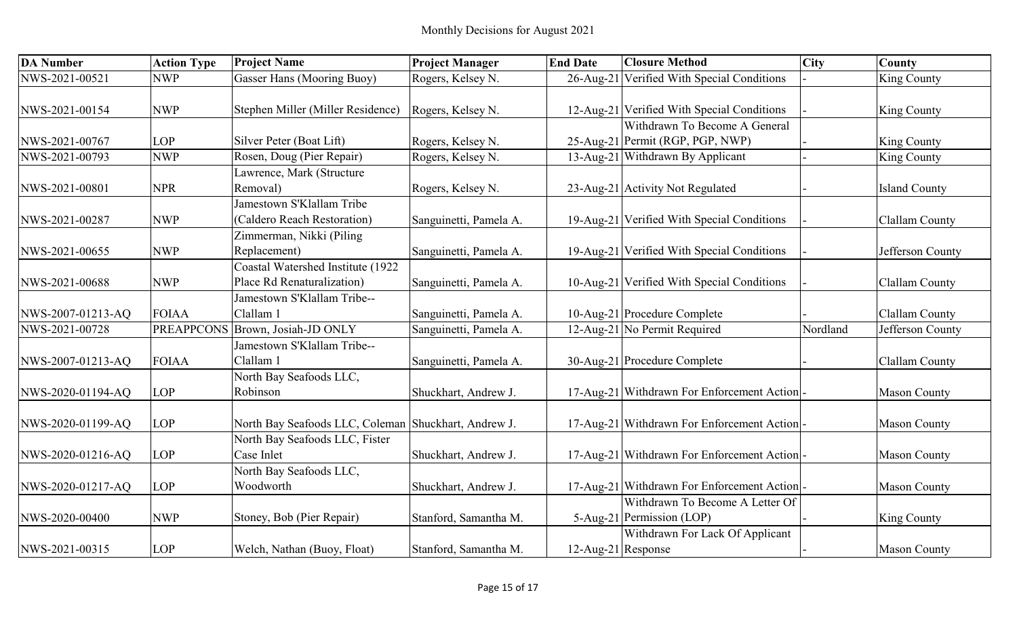| <b>DA Number</b>  | <b>Action Type</b> | <b>Project Name</b>                                  | <b>Project Manager</b> | <b>End Date</b>       | <b>Closure Method</b>                      | <b>City</b> | <b>County</b>         |
|-------------------|--------------------|------------------------------------------------------|------------------------|-----------------------|--------------------------------------------|-------------|-----------------------|
| NWS-2021-00521    | <b>NWP</b>         | <b>Gasser Hans (Mooring Buoy)</b>                    | Rogers, Kelsey N.      | 26-Aug-21             | Verified With Special Conditions           |             | King County           |
|                   |                    |                                                      |                        |                       |                                            |             |                       |
| NWS-2021-00154    | <b>NWP</b>         | Stephen Miller (Miller Residence)                    | Rogers, Kelsey N.      |                       | 12-Aug-21 Verified With Special Conditions |             | <b>King County</b>    |
|                   |                    |                                                      |                        |                       | Withdrawn To Become A General              |             |                       |
| NWS-2021-00767    | <b>LOP</b>         | Silver Peter (Boat Lift)                             | Rogers, Kelsey N.      |                       | 25-Aug-21 Permit (RGP, PGP, NWP)           |             | <b>King County</b>    |
| NWS-2021-00793    | <b>NWP</b>         | Rosen, Doug (Pier Repair)                            | Rogers, Kelsey N.      |                       | 13-Aug-21 Withdrawn By Applicant           |             | <b>King County</b>    |
|                   |                    | Lawrence, Mark (Structure                            |                        |                       |                                            |             |                       |
| NWS-2021-00801    | <b>NPR</b>         | Removal)                                             | Rogers, Kelsey N.      |                       | 23-Aug-21 Activity Not Regulated           |             | <b>Island County</b>  |
|                   |                    | Jamestown S'Klallam Tribe                            |                        |                       |                                            |             |                       |
| NWS-2021-00287    | <b>NWP</b>         | (Caldero Reach Restoration)                          | Sanguinetti, Pamela A. |                       | 19-Aug-21 Verified With Special Conditions |             | <b>Clallam County</b> |
|                   |                    | Zimmerman, Nikki (Piling                             |                        |                       |                                            |             |                       |
| NWS-2021-00655    | <b>NWP</b>         | Replacement)                                         | Sanguinetti, Pamela A. |                       | 19-Aug-21 Verified With Special Conditions |             | Jefferson County      |
|                   |                    | Coastal Watershed Institute (1922)                   |                        |                       |                                            |             |                       |
| NWS-2021-00688    | <b>NWP</b>         | Place Rd Renaturalization)                           | Sanguinetti, Pamela A. |                       | 10-Aug-21 Verified With Special Conditions |             | Clallam County        |
|                   |                    | amestown S'Klallam Tribe--                           |                        |                       |                                            |             |                       |
| NWS-2007-01213-AQ | <b>FOIAA</b>       | Clallam 1                                            | Sanguinetti, Pamela A. |                       | 10-Aug-21 Procedure Complete               |             | <b>Clallam County</b> |
| NWS-2021-00728    | <b>PREAPPCONS</b>  | Brown, Josiah-JD ONLY                                | Sanguinetti, Pamela A. |                       | 12-Aug-21 No Permit Required               | Nordland    | Jefferson County      |
|                   |                    | amestown S'Klallam Tribe--                           |                        |                       |                                            |             |                       |
| NWS-2007-01213-AQ | <b>FOIAA</b>       | Clallam 1                                            | Sanguinetti, Pamela A. |                       | 30-Aug-21 Procedure Complete               |             | <b>Clallam County</b> |
|                   |                    | North Bay Seafoods LLC,                              |                        |                       |                                            |             |                       |
| NWS-2020-01194-AQ | <b>LOP</b>         | Robinson                                             | Shuckhart, Andrew J.   |                       | 17-Aug-21 Withdrawn For Enforcement Action |             | <b>Mason County</b>   |
|                   |                    |                                                      |                        |                       |                                            |             |                       |
| NWS-2020-01199-AQ | <b>LOP</b>         | North Bay Seafoods LLC, Coleman Shuckhart, Andrew J. |                        |                       | 17-Aug-21 Withdrawn For Enforcement Action |             | <b>Mason County</b>   |
|                   |                    | North Bay Seafoods LLC, Fister                       |                        |                       |                                            |             |                       |
| NWS-2020-01216-AQ | <b>LOP</b>         | Case Inlet                                           | Shuckhart, Andrew J.   |                       | 17-Aug-21 Withdrawn For Enforcement Action |             | <b>Mason County</b>   |
|                   |                    | North Bay Seafoods LLC,                              |                        |                       |                                            |             |                       |
| NWS-2020-01217-AQ | <b>LOP</b>         | Woodworth                                            | Shuckhart, Andrew J.   |                       | 17-Aug-21 Withdrawn For Enforcement Action |             | <b>Mason County</b>   |
|                   |                    |                                                      |                        |                       | Withdrawn To Become A Letter Of            |             |                       |
| NWS-2020-00400    | <b>NWP</b>         | Stoney, Bob (Pier Repair)                            | Stanford, Samantha M.  |                       | 5-Aug-21 Permission (LOP)                  |             | <b>King County</b>    |
|                   |                    |                                                      |                        |                       | Withdrawn For Lack Of Applicant            |             |                       |
| NWS-2021-00315    | <b>LOP</b>         | Welch, Nathan (Buoy, Float)                          | Stanford, Samantha M.  | $12$ -Aug-21 Response |                                            |             | <b>Mason County</b>   |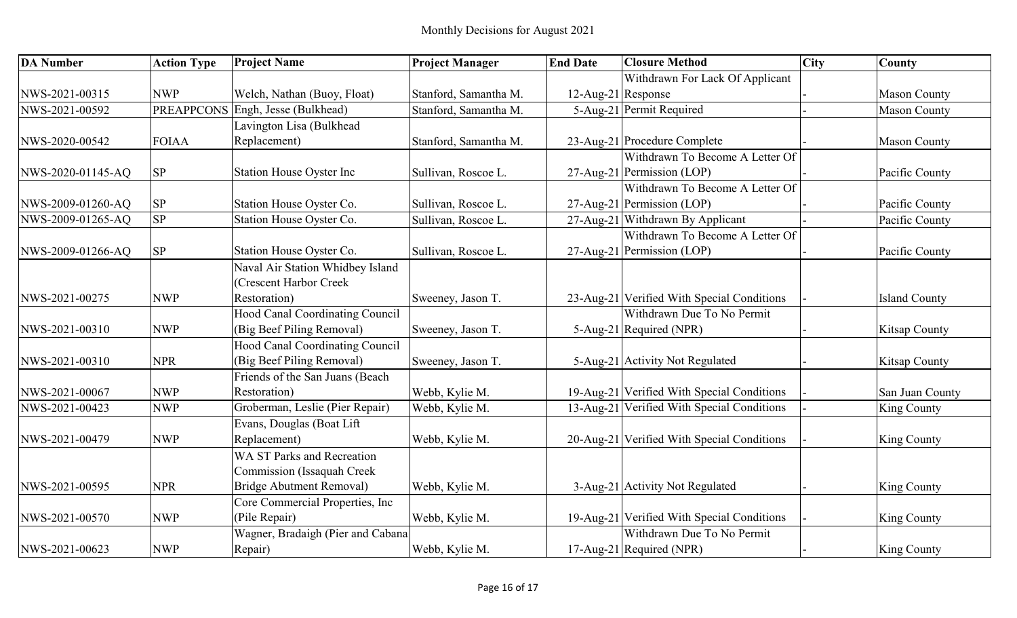| <b>DA Number</b>  | <b>Action Type</b> | <b>Project Name</b>                    | <b>Project Manager</b> | <b>End Date</b>    | <b>Closure Method</b>                      | <b>City</b> | County               |
|-------------------|--------------------|----------------------------------------|------------------------|--------------------|--------------------------------------------|-------------|----------------------|
|                   |                    |                                        |                        |                    | Withdrawn For Lack Of Applicant            |             |                      |
| NWS-2021-00315    | <b>NWP</b>         | Welch, Nathan (Buoy, Float)            | Stanford, Samantha M.  | 12-Aug-21 Response |                                            |             | <b>Mason County</b>  |
| NWS-2021-00592    | <b>PREAPPCONS</b>  | Engh, Jesse (Bulkhead)                 | Stanford, Samantha M.  |                    | 5-Aug-21 Permit Required                   |             | <b>Mason County</b>  |
|                   |                    | Lavington Lisa (Bulkhead               |                        |                    |                                            |             |                      |
| NWS-2020-00542    | <b>FOIAA</b>       | Replacement)                           | Stanford, Samantha M.  |                    | 23-Aug-21 Procedure Complete               |             | <b>Mason County</b>  |
|                   |                    |                                        |                        |                    | Withdrawn To Become A Letter Of            |             |                      |
| NWS-2020-01145-AQ | <b>SP</b>          | <b>Station House Oyster Inc</b>        | Sullivan, Roscoe L.    |                    | 27-Aug-21 Permission (LOP)                 |             | Pacific County       |
|                   |                    |                                        |                        |                    | Withdrawn To Become A Letter Of            |             |                      |
| NWS-2009-01260-AQ | <b>SP</b>          | Station House Oyster Co.               | Sullivan, Roscoe L.    |                    | 27-Aug-21 Permission (LOP)                 |             | Pacific County       |
| NWS-2009-01265-AQ | <b>SP</b>          | Station House Oyster Co.               | Sullivan, Roscoe L.    |                    | 27-Aug-21 Withdrawn By Applicant           |             | Pacific County       |
|                   |                    |                                        |                        |                    | Withdrawn To Become A Letter Of            |             |                      |
| NWS-2009-01266-AQ | <b>SP</b>          | Station House Oyster Co.               | Sullivan, Roscoe L.    |                    | 27-Aug-21 Permission (LOP)                 |             | Pacific County       |
|                   |                    | Naval Air Station Whidbey Island       |                        |                    |                                            |             |                      |
|                   |                    | <b>Crescent Harbor Creek</b>           |                        |                    |                                            |             |                      |
| NWS-2021-00275    | <b>NWP</b>         | Restoration)                           | Sweeney, Jason T.      |                    | 23-Aug-21 Verified With Special Conditions |             | <b>Island County</b> |
|                   |                    | <b>Hood Canal Coordinating Council</b> |                        |                    | Withdrawn Due To No Permit                 |             |                      |
| NWS-2021-00310    | <b>NWP</b>         | (Big Beef Piling Removal)              | Sweeney, Jason T.      |                    | 5-Aug-21 Required (NPR)                    |             | <b>Kitsap County</b> |
|                   |                    | Hood Canal Coordinating Council        |                        |                    |                                            |             |                      |
| NWS-2021-00310    | <b>NPR</b>         | (Big Beef Piling Removal)              | Sweeney, Jason T.      |                    | 5-Aug-21 Activity Not Regulated            |             | Kitsap County        |
|                   |                    | Friends of the San Juans (Beach        |                        |                    |                                            |             |                      |
| NWS-2021-00067    | <b>NWP</b>         | Restoration)                           | Webb, Kylie M.         |                    | 19-Aug-21 Verified With Special Conditions |             | San Juan County      |
| NWS-2021-00423    | <b>NWP</b>         | Groberman, Leslie (Pier Repair)        | Webb, Kylie M.         |                    | 13-Aug-21 Verified With Special Conditions |             | King County          |
|                   |                    | Evans, Douglas (Boat Lift              |                        |                    |                                            |             |                      |
| NWS-2021-00479    | <b>NWP</b>         | Replacement)                           | Webb, Kylie M.         |                    | 20-Aug-21 Verified With Special Conditions |             | <b>King County</b>   |
|                   |                    | <b>WA ST Parks and Recreation</b>      |                        |                    |                                            |             |                      |
|                   |                    | Commission (Issaquah Creek             |                        |                    |                                            |             |                      |
| NWS-2021-00595    | <b>NPR</b>         | Bridge Abutment Removal)               | Webb, Kylie M.         |                    | 3-Aug-21 Activity Not Regulated            |             | King County          |
|                   |                    | Core Commercial Properties, Inc        |                        |                    |                                            |             |                      |
| NWS-2021-00570    | <b>NWP</b>         | (Pile Repair)                          | Webb, Kylie M.         |                    | 19-Aug-21 Verified With Special Conditions |             | <b>King County</b>   |
|                   |                    | Wagner, Bradaigh (Pier and Cabana      |                        |                    | Withdrawn Due To No Permit                 |             |                      |
| NWS-2021-00623    | <b>NWP</b>         | Repair)                                | Webb, Kylie M.         |                    | 17-Aug-21 Required (NPR)                   |             | <b>King County</b>   |